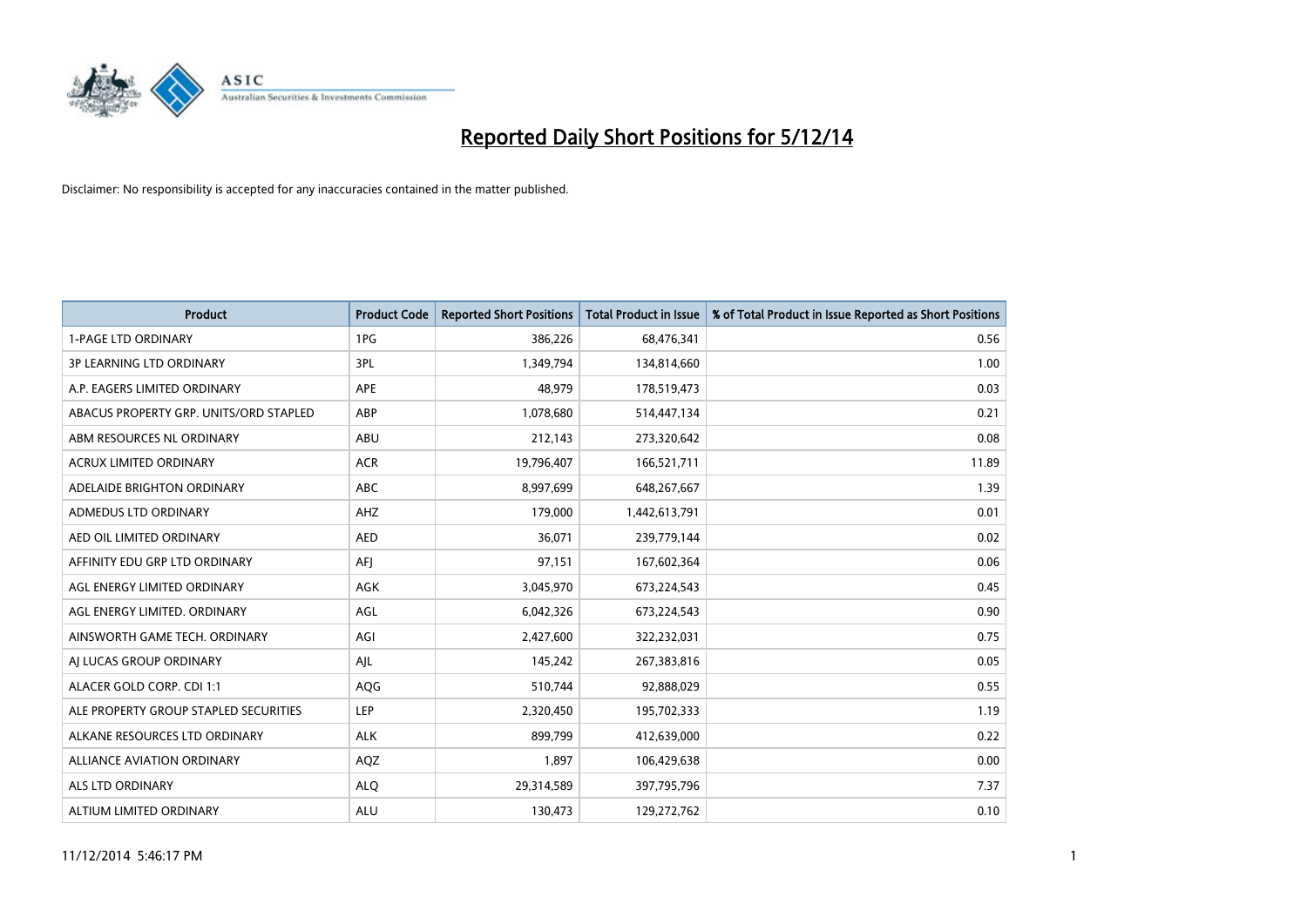

| <b>Product</b>                         | <b>Product Code</b> | <b>Reported Short Positions</b> | <b>Total Product in Issue</b> | % of Total Product in Issue Reported as Short Positions |
|----------------------------------------|---------------------|---------------------------------|-------------------------------|---------------------------------------------------------|
| <b>1-PAGE LTD ORDINARY</b>             | 1PG                 | 386,226                         | 68,476,341                    | 0.56                                                    |
| <b>3P LEARNING LTD ORDINARY</b>        | 3PL                 | 1,349,794                       | 134,814,660                   | 1.00                                                    |
| A.P. EAGERS LIMITED ORDINARY           | <b>APE</b>          | 48,979                          | 178,519,473                   | 0.03                                                    |
| ABACUS PROPERTY GRP. UNITS/ORD STAPLED | ABP                 | 1,078,680                       | 514,447,134                   | 0.21                                                    |
| ABM RESOURCES NL ORDINARY              | ABU                 | 212,143                         | 273,320,642                   | 0.08                                                    |
| <b>ACRUX LIMITED ORDINARY</b>          | <b>ACR</b>          | 19,796,407                      | 166,521,711                   | 11.89                                                   |
| ADELAIDE BRIGHTON ORDINARY             | <b>ABC</b>          | 8,997,699                       | 648,267,667                   | 1.39                                                    |
| ADMEDUS LTD ORDINARY                   | AHZ                 | 179,000                         | 1,442,613,791                 | 0.01                                                    |
| AED OIL LIMITED ORDINARY               | <b>AED</b>          | 36,071                          | 239,779,144                   | 0.02                                                    |
| AFFINITY EDU GRP LTD ORDINARY          | AFI                 | 97,151                          | 167,602,364                   | 0.06                                                    |
| AGL ENERGY LIMITED ORDINARY            | AGK                 | 3,045,970                       | 673,224,543                   | 0.45                                                    |
| AGL ENERGY LIMITED. ORDINARY           | AGL                 | 6,042,326                       | 673,224,543                   | 0.90                                                    |
| AINSWORTH GAME TECH. ORDINARY          | AGI                 | 2,427,600                       | 322,232,031                   | 0.75                                                    |
| AI LUCAS GROUP ORDINARY                | AJL                 | 145,242                         | 267,383,816                   | 0.05                                                    |
| ALACER GOLD CORP. CDI 1:1              | AQG                 | 510,744                         | 92,888,029                    | 0.55                                                    |
| ALE PROPERTY GROUP STAPLED SECURITIES  | <b>LEP</b>          | 2,320,450                       | 195,702,333                   | 1.19                                                    |
| ALKANE RESOURCES LTD ORDINARY          | <b>ALK</b>          | 899,799                         | 412,639,000                   | 0.22                                                    |
| ALLIANCE AVIATION ORDINARY             | AQZ                 | 1,897                           | 106,429,638                   | 0.00                                                    |
| ALS LTD ORDINARY                       | <b>ALQ</b>          | 29,314,589                      | 397,795,796                   | 7.37                                                    |
| ALTIUM LIMITED ORDINARY                | <b>ALU</b>          | 130,473                         | 129,272,762                   | 0.10                                                    |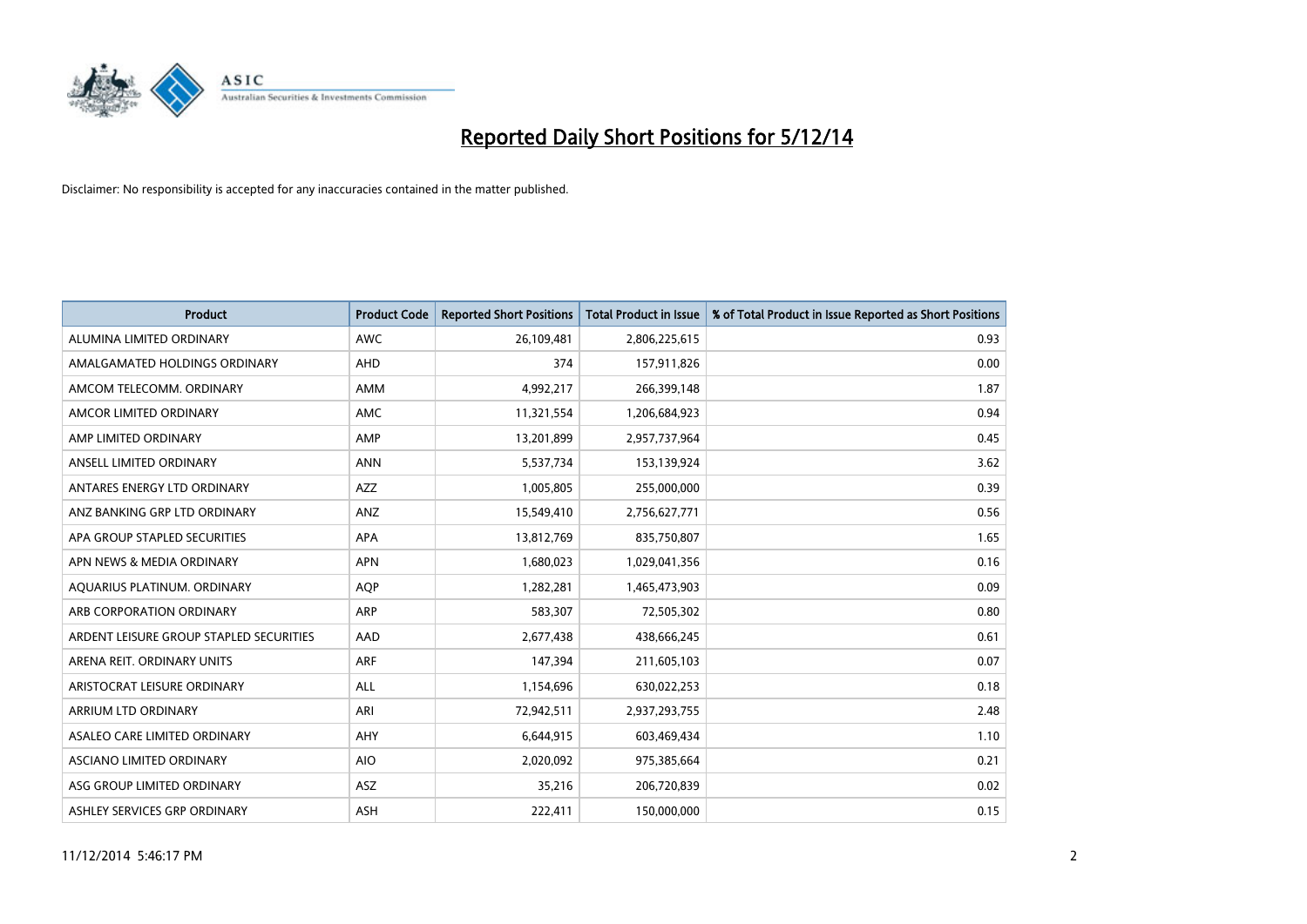

| <b>Product</b>                          | <b>Product Code</b> | <b>Reported Short Positions</b> | <b>Total Product in Issue</b> | % of Total Product in Issue Reported as Short Positions |
|-----------------------------------------|---------------------|---------------------------------|-------------------------------|---------------------------------------------------------|
| ALUMINA LIMITED ORDINARY                | <b>AWC</b>          | 26,109,481                      | 2,806,225,615                 | 0.93                                                    |
| AMALGAMATED HOLDINGS ORDINARY           | <b>AHD</b>          | 374                             | 157,911,826                   | 0.00                                                    |
| AMCOM TELECOMM. ORDINARY                | AMM                 | 4,992,217                       | 266,399,148                   | 1.87                                                    |
| AMCOR LIMITED ORDINARY                  | AMC                 | 11,321,554                      | 1,206,684,923                 | 0.94                                                    |
| AMP LIMITED ORDINARY                    | AMP                 | 13,201,899                      | 2,957,737,964                 | 0.45                                                    |
| ANSELL LIMITED ORDINARY                 | <b>ANN</b>          | 5,537,734                       | 153,139,924                   | 3.62                                                    |
| ANTARES ENERGY LTD ORDINARY             | AZZ                 | 1,005,805                       | 255,000,000                   | 0.39                                                    |
| ANZ BANKING GRP LTD ORDINARY            | ANZ                 | 15,549,410                      | 2,756,627,771                 | 0.56                                                    |
| APA GROUP STAPLED SECURITIES            | <b>APA</b>          | 13,812,769                      | 835,750,807                   | 1.65                                                    |
| APN NEWS & MEDIA ORDINARY               | <b>APN</b>          | 1,680,023                       | 1,029,041,356                 | 0.16                                                    |
| AQUARIUS PLATINUM. ORDINARY             | AQP                 | 1,282,281                       | 1,465,473,903                 | 0.09                                                    |
| ARB CORPORATION ORDINARY                | ARP                 | 583,307                         | 72,505,302                    | 0.80                                                    |
| ARDENT LEISURE GROUP STAPLED SECURITIES | AAD                 | 2,677,438                       | 438,666,245                   | 0.61                                                    |
| ARENA REIT. ORDINARY UNITS              | <b>ARF</b>          | 147,394                         | 211,605,103                   | 0.07                                                    |
| ARISTOCRAT LEISURE ORDINARY             | ALL                 | 1,154,696                       | 630,022,253                   | 0.18                                                    |
| ARRIUM LTD ORDINARY                     | ARI                 | 72,942,511                      | 2,937,293,755                 | 2.48                                                    |
| ASALEO CARE LIMITED ORDINARY            | AHY                 | 6,644,915                       | 603,469,434                   | 1.10                                                    |
| ASCIANO LIMITED ORDINARY                | <b>AIO</b>          | 2,020,092                       | 975,385,664                   | 0.21                                                    |
| ASG GROUP LIMITED ORDINARY              | <b>ASZ</b>          | 35,216                          | 206,720,839                   | 0.02                                                    |
| ASHLEY SERVICES GRP ORDINARY            | <b>ASH</b>          | 222,411                         | 150,000,000                   | 0.15                                                    |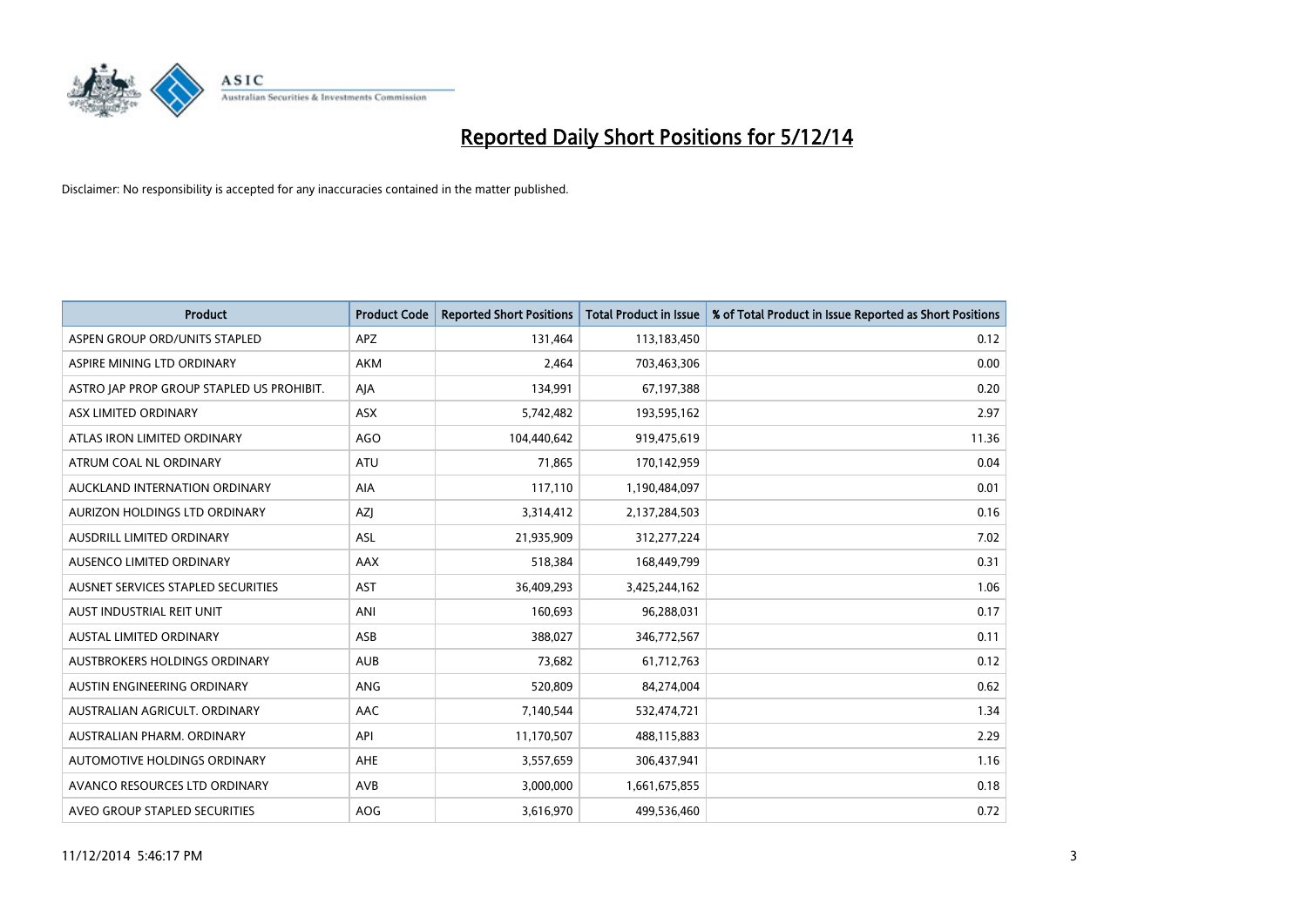

| <b>Product</b>                            | <b>Product Code</b> | <b>Reported Short Positions</b> | <b>Total Product in Issue</b> | % of Total Product in Issue Reported as Short Positions |
|-------------------------------------------|---------------------|---------------------------------|-------------------------------|---------------------------------------------------------|
| ASPEN GROUP ORD/UNITS STAPLED             | <b>APZ</b>          | 131,464                         | 113,183,450                   | 0.12                                                    |
| ASPIRE MINING LTD ORDINARY                | AKM                 | 2,464                           | 703,463,306                   | 0.00                                                    |
| ASTRO JAP PROP GROUP STAPLED US PROHIBIT. | AJA                 | 134,991                         | 67,197,388                    | 0.20                                                    |
| ASX LIMITED ORDINARY                      | ASX                 | 5,742,482                       | 193,595,162                   | 2.97                                                    |
| ATLAS IRON LIMITED ORDINARY               | <b>AGO</b>          | 104,440,642                     | 919,475,619                   | 11.36                                                   |
| ATRUM COAL NL ORDINARY                    | <b>ATU</b>          | 71,865                          | 170,142,959                   | 0.04                                                    |
| AUCKLAND INTERNATION ORDINARY             | AIA                 | 117,110                         | 1,190,484,097                 | 0.01                                                    |
| AURIZON HOLDINGS LTD ORDINARY             | AZJ                 | 3,314,412                       | 2,137,284,503                 | 0.16                                                    |
| AUSDRILL LIMITED ORDINARY                 | <b>ASL</b>          | 21,935,909                      | 312,277,224                   | 7.02                                                    |
| AUSENCO LIMITED ORDINARY                  | AAX                 | 518,384                         | 168,449,799                   | 0.31                                                    |
| AUSNET SERVICES STAPLED SECURITIES        | <b>AST</b>          | 36,409,293                      | 3,425,244,162                 | 1.06                                                    |
| AUST INDUSTRIAL REIT UNIT                 | ANI                 | 160,693                         | 96,288,031                    | 0.17                                                    |
| AUSTAL LIMITED ORDINARY                   | ASB                 | 388,027                         | 346,772,567                   | 0.11                                                    |
| AUSTBROKERS HOLDINGS ORDINARY             | <b>AUB</b>          | 73,682                          | 61,712,763                    | 0.12                                                    |
| AUSTIN ENGINEERING ORDINARY               | ANG                 | 520,809                         | 84,274,004                    | 0.62                                                    |
| AUSTRALIAN AGRICULT. ORDINARY             | AAC                 | 7,140,544                       | 532,474,721                   | 1.34                                                    |
| AUSTRALIAN PHARM. ORDINARY                | API                 | 11,170,507                      | 488,115,883                   | 2.29                                                    |
| AUTOMOTIVE HOLDINGS ORDINARY              | AHE                 | 3,557,659                       | 306,437,941                   | 1.16                                                    |
| AVANCO RESOURCES LTD ORDINARY             | AVB                 | 3,000,000                       | 1,661,675,855                 | 0.18                                                    |
| AVEO GROUP STAPLED SECURITIES             | AOG                 | 3,616,970                       | 499,536,460                   | 0.72                                                    |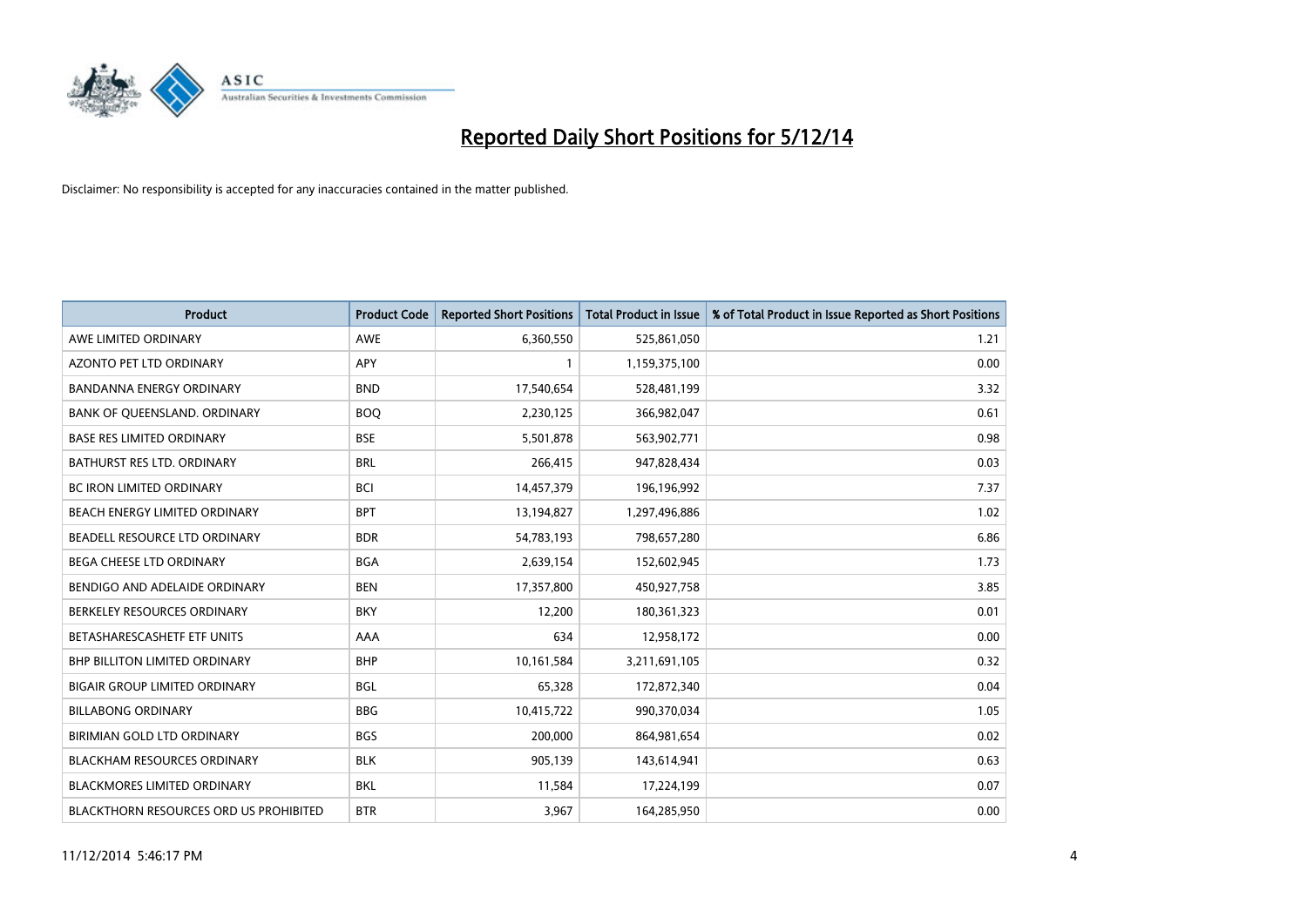

| <b>Product</b>                         | <b>Product Code</b> | <b>Reported Short Positions</b> | <b>Total Product in Issue</b> | % of Total Product in Issue Reported as Short Positions |
|----------------------------------------|---------------------|---------------------------------|-------------------------------|---------------------------------------------------------|
| AWE LIMITED ORDINARY                   | <b>AWE</b>          | 6,360,550                       | 525,861,050                   | 1.21                                                    |
| AZONTO PET LTD ORDINARY                | APY                 |                                 | 1,159,375,100                 | 0.00                                                    |
| <b>BANDANNA ENERGY ORDINARY</b>        | <b>BND</b>          | 17,540,654                      | 528,481,199                   | 3.32                                                    |
| BANK OF QUEENSLAND. ORDINARY           | <b>BOQ</b>          | 2,230,125                       | 366,982,047                   | 0.61                                                    |
| <b>BASE RES LIMITED ORDINARY</b>       | <b>BSE</b>          | 5,501,878                       | 563,902,771                   | 0.98                                                    |
| <b>BATHURST RES LTD. ORDINARY</b>      | <b>BRL</b>          | 266,415                         | 947,828,434                   | 0.03                                                    |
| <b>BC IRON LIMITED ORDINARY</b>        | <b>BCI</b>          | 14,457,379                      | 196,196,992                   | 7.37                                                    |
| BEACH ENERGY LIMITED ORDINARY          | <b>BPT</b>          | 13,194,827                      | 1,297,496,886                 | 1.02                                                    |
| BEADELL RESOURCE LTD ORDINARY          | <b>BDR</b>          | 54,783,193                      | 798,657,280                   | 6.86                                                    |
| <b>BEGA CHEESE LTD ORDINARY</b>        | <b>BGA</b>          | 2,639,154                       | 152,602,945                   | 1.73                                                    |
| BENDIGO AND ADELAIDE ORDINARY          | <b>BEN</b>          | 17,357,800                      | 450,927,758                   | 3.85                                                    |
| BERKELEY RESOURCES ORDINARY            | <b>BKY</b>          | 12,200                          | 180,361,323                   | 0.01                                                    |
| BETASHARESCASHETF ETF UNITS            | AAA                 | 634                             | 12,958,172                    | 0.00                                                    |
| <b>BHP BILLITON LIMITED ORDINARY</b>   | <b>BHP</b>          | 10,161,584                      | 3,211,691,105                 | 0.32                                                    |
| <b>BIGAIR GROUP LIMITED ORDINARY</b>   | <b>BGL</b>          | 65,328                          | 172,872,340                   | 0.04                                                    |
| <b>BILLABONG ORDINARY</b>              | <b>BBG</b>          | 10,415,722                      | 990,370,034                   | 1.05                                                    |
| BIRIMIAN GOLD LTD ORDINARY             | <b>BGS</b>          | 200,000                         | 864,981,654                   | 0.02                                                    |
| BLACKHAM RESOURCES ORDINARY            | <b>BLK</b>          | 905,139                         | 143,614,941                   | 0.63                                                    |
| <b>BLACKMORES LIMITED ORDINARY</b>     | <b>BKL</b>          | 11,584                          | 17,224,199                    | 0.07                                                    |
| BLACKTHORN RESOURCES ORD US PROHIBITED | <b>BTR</b>          | 3,967                           | 164,285,950                   | 0.00                                                    |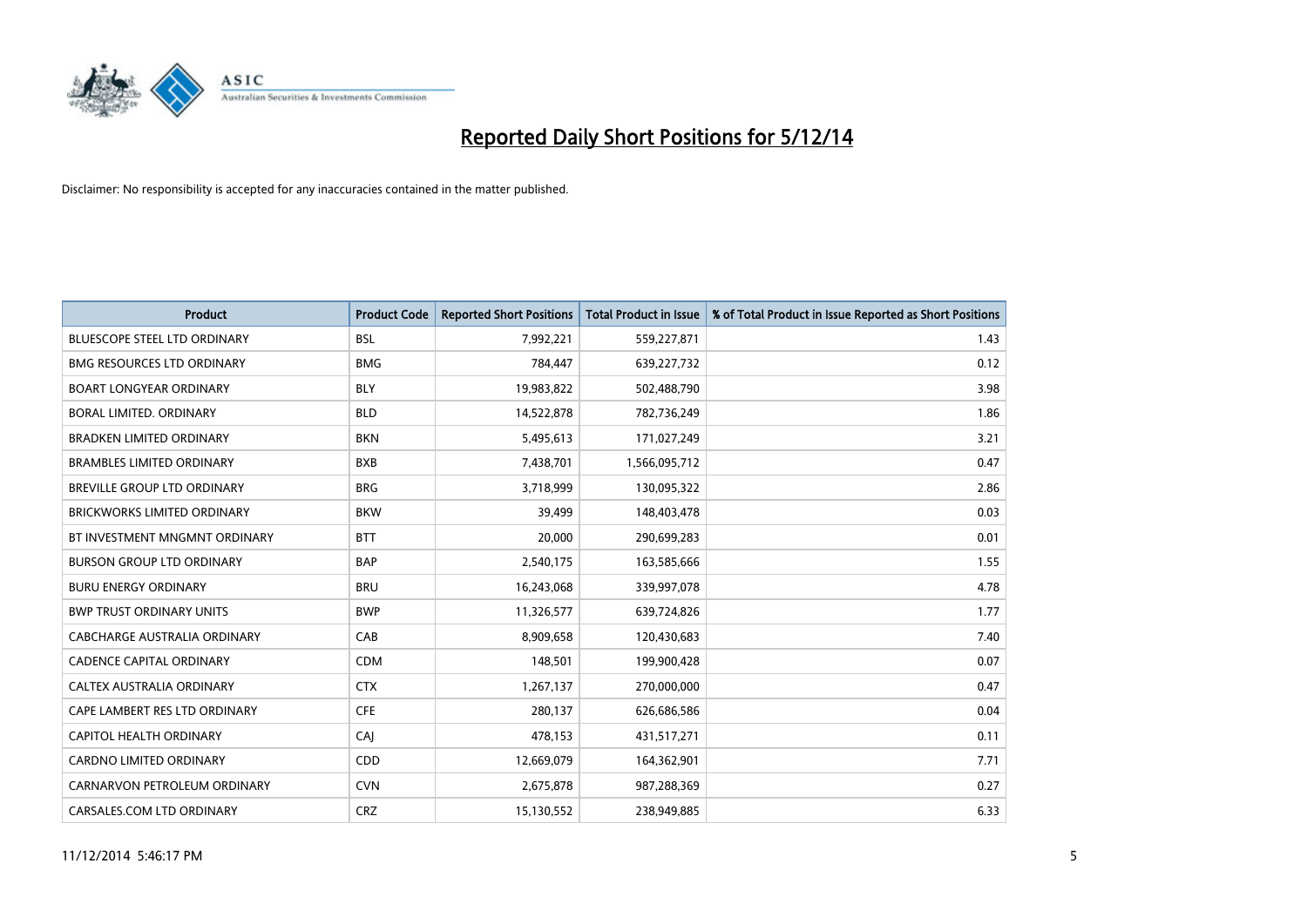

| <b>Product</b>                      | <b>Product Code</b> | <b>Reported Short Positions</b> | <b>Total Product in Issue</b> | % of Total Product in Issue Reported as Short Positions |
|-------------------------------------|---------------------|---------------------------------|-------------------------------|---------------------------------------------------------|
| BLUESCOPE STEEL LTD ORDINARY        | <b>BSL</b>          | 7,992,221                       | 559,227,871                   | 1.43                                                    |
| <b>BMG RESOURCES LTD ORDINARY</b>   | <b>BMG</b>          | 784,447                         | 639,227,732                   | 0.12                                                    |
| <b>BOART LONGYEAR ORDINARY</b>      | <b>BLY</b>          | 19,983,822                      | 502,488,790                   | 3.98                                                    |
| BORAL LIMITED. ORDINARY             | <b>BLD</b>          | 14,522,878                      | 782,736,249                   | 1.86                                                    |
| <b>BRADKEN LIMITED ORDINARY</b>     | <b>BKN</b>          | 5,495,613                       | 171,027,249                   | 3.21                                                    |
| <b>BRAMBLES LIMITED ORDINARY</b>    | <b>BXB</b>          | 7,438,701                       | 1,566,095,712                 | 0.47                                                    |
| BREVILLE GROUP LTD ORDINARY         | <b>BRG</b>          | 3,718,999                       | 130,095,322                   | 2.86                                                    |
| <b>BRICKWORKS LIMITED ORDINARY</b>  | <b>BKW</b>          | 39,499                          | 148,403,478                   | 0.03                                                    |
| BT INVESTMENT MNGMNT ORDINARY       | <b>BTT</b>          | 20,000                          | 290,699,283                   | 0.01                                                    |
| <b>BURSON GROUP LTD ORDINARY</b>    | <b>BAP</b>          | 2,540,175                       | 163,585,666                   | 1.55                                                    |
| <b>BURU ENERGY ORDINARY</b>         | <b>BRU</b>          | 16,243,068                      | 339,997,078                   | 4.78                                                    |
| <b>BWP TRUST ORDINARY UNITS</b>     | <b>BWP</b>          | 11,326,577                      | 639,724,826                   | 1.77                                                    |
| <b>CABCHARGE AUSTRALIA ORDINARY</b> | CAB                 | 8,909,658                       | 120,430,683                   | 7.40                                                    |
| <b>CADENCE CAPITAL ORDINARY</b>     | <b>CDM</b>          | 148,501                         | 199,900,428                   | 0.07                                                    |
| CALTEX AUSTRALIA ORDINARY           | <b>CTX</b>          | 1,267,137                       | 270,000,000                   | 0.47                                                    |
| CAPE LAMBERT RES LTD ORDINARY       | <b>CFE</b>          | 280,137                         | 626,686,586                   | 0.04                                                    |
| CAPITOL HEALTH ORDINARY             | CAI                 | 478,153                         | 431,517,271                   | 0.11                                                    |
| CARDNO LIMITED ORDINARY             | CDD                 | 12,669,079                      | 164,362,901                   | 7.71                                                    |
| CARNARVON PETROLEUM ORDINARY        | <b>CVN</b>          | 2,675,878                       | 987,288,369                   | 0.27                                                    |
| CARSALES.COM LTD ORDINARY           | <b>CRZ</b>          | 15,130,552                      | 238,949,885                   | 6.33                                                    |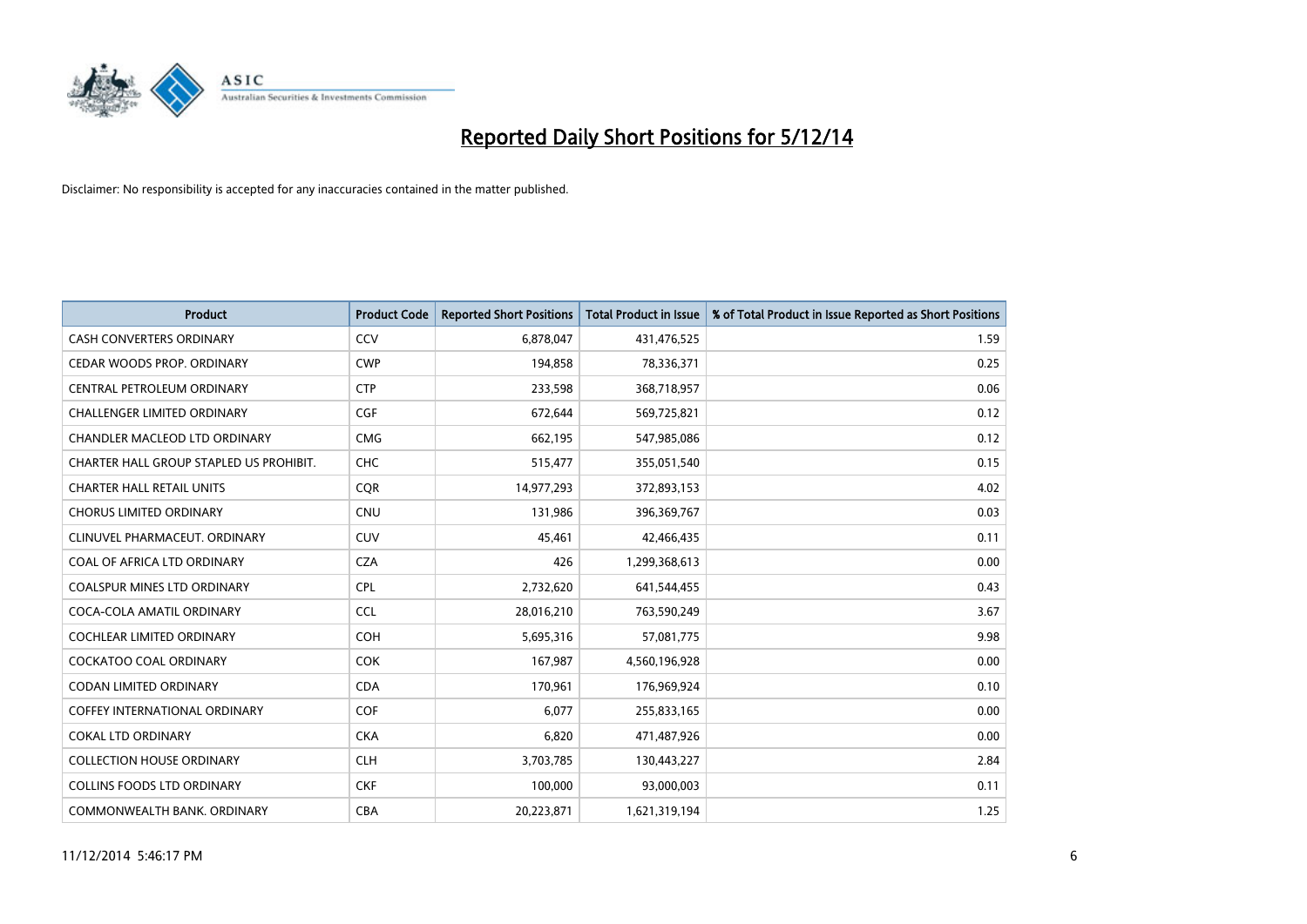

| <b>Product</b>                          | <b>Product Code</b> | <b>Reported Short Positions</b> | <b>Total Product in Issue</b> | % of Total Product in Issue Reported as Short Positions |
|-----------------------------------------|---------------------|---------------------------------|-------------------------------|---------------------------------------------------------|
| <b>CASH CONVERTERS ORDINARY</b>         | CCV                 | 6,878,047                       | 431,476,525                   | 1.59                                                    |
| CEDAR WOODS PROP. ORDINARY              | <b>CWP</b>          | 194,858                         | 78,336,371                    | 0.25                                                    |
| CENTRAL PETROLEUM ORDINARY              | <b>CTP</b>          | 233,598                         | 368,718,957                   | 0.06                                                    |
| CHALLENGER LIMITED ORDINARY             | <b>CGF</b>          | 672,644                         | 569,725,821                   | 0.12                                                    |
| CHANDLER MACLEOD LTD ORDINARY           | <b>CMG</b>          | 662,195                         | 547,985,086                   | 0.12                                                    |
| CHARTER HALL GROUP STAPLED US PROHIBIT. | CHC                 | 515,477                         | 355,051,540                   | 0.15                                                    |
| <b>CHARTER HALL RETAIL UNITS</b>        | <b>COR</b>          | 14,977,293                      | 372,893,153                   | 4.02                                                    |
| <b>CHORUS LIMITED ORDINARY</b>          | <b>CNU</b>          | 131,986                         | 396,369,767                   | 0.03                                                    |
| CLINUVEL PHARMACEUT, ORDINARY           | <b>CUV</b>          | 45,461                          | 42,466,435                    | 0.11                                                    |
| COAL OF AFRICA LTD ORDINARY             | <b>CZA</b>          | 426                             | 1,299,368,613                 | 0.00                                                    |
| COALSPUR MINES LTD ORDINARY             | <b>CPL</b>          | 2,732,620                       | 641,544,455                   | 0.43                                                    |
| COCA-COLA AMATIL ORDINARY               | <b>CCL</b>          | 28,016,210                      | 763,590,249                   | 3.67                                                    |
| COCHLEAR LIMITED ORDINARY               | <b>COH</b>          | 5,695,316                       | 57,081,775                    | 9.98                                                    |
| <b>COCKATOO COAL ORDINARY</b>           | COK                 | 167,987                         | 4,560,196,928                 | 0.00                                                    |
| <b>CODAN LIMITED ORDINARY</b>           | <b>CDA</b>          | 170,961                         | 176,969,924                   | 0.10                                                    |
| <b>COFFEY INTERNATIONAL ORDINARY</b>    | <b>COF</b>          | 6,077                           | 255,833,165                   | 0.00                                                    |
| <b>COKAL LTD ORDINARY</b>               | <b>CKA</b>          | 6,820                           | 471,487,926                   | 0.00                                                    |
| <b>COLLECTION HOUSE ORDINARY</b>        | <b>CLH</b>          | 3,703,785                       | 130,443,227                   | 2.84                                                    |
| <b>COLLINS FOODS LTD ORDINARY</b>       | <b>CKF</b>          | 100,000                         | 93,000,003                    | 0.11                                                    |
| COMMONWEALTH BANK, ORDINARY             | <b>CBA</b>          | 20,223,871                      | 1,621,319,194                 | 1.25                                                    |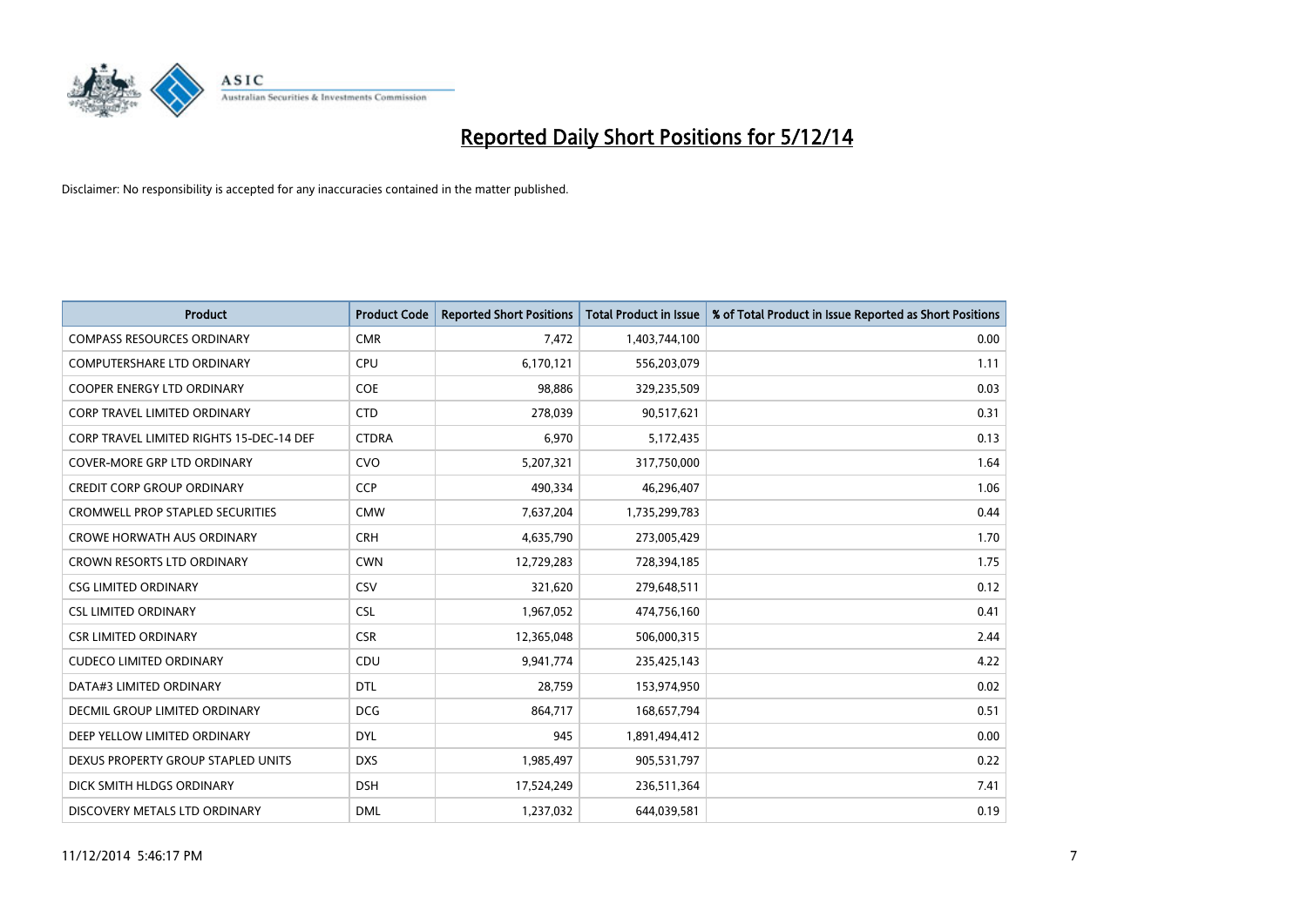

| <b>Product</b>                           | <b>Product Code</b> | <b>Reported Short Positions</b> | <b>Total Product in Issue</b> | % of Total Product in Issue Reported as Short Positions |
|------------------------------------------|---------------------|---------------------------------|-------------------------------|---------------------------------------------------------|
| <b>COMPASS RESOURCES ORDINARY</b>        | <b>CMR</b>          | 7,472                           | 1,403,744,100                 | 0.00                                                    |
| <b>COMPUTERSHARE LTD ORDINARY</b>        | <b>CPU</b>          | 6,170,121                       | 556,203,079                   | 1.11                                                    |
| <b>COOPER ENERGY LTD ORDINARY</b>        | <b>COE</b>          | 98,886                          | 329,235,509                   | 0.03                                                    |
| <b>CORP TRAVEL LIMITED ORDINARY</b>      | <b>CTD</b>          | 278,039                         | 90,517,621                    | 0.31                                                    |
| CORP TRAVEL LIMITED RIGHTS 15-DEC-14 DEF | <b>CTDRA</b>        | 6,970                           | 5,172,435                     | 0.13                                                    |
| <b>COVER-MORE GRP LTD ORDINARY</b>       | <b>CVO</b>          | 5,207,321                       | 317,750,000                   | 1.64                                                    |
| <b>CREDIT CORP GROUP ORDINARY</b>        | <b>CCP</b>          | 490,334                         | 46,296,407                    | 1.06                                                    |
| <b>CROMWELL PROP STAPLED SECURITIES</b>  | <b>CMW</b>          | 7,637,204                       | 1,735,299,783                 | 0.44                                                    |
| <b>CROWE HORWATH AUS ORDINARY</b>        | <b>CRH</b>          | 4,635,790                       | 273,005,429                   | 1.70                                                    |
| <b>CROWN RESORTS LTD ORDINARY</b>        | <b>CWN</b>          | 12,729,283                      | 728,394,185                   | 1.75                                                    |
| <b>CSG LIMITED ORDINARY</b>              | CSV                 | 321,620                         | 279,648,511                   | 0.12                                                    |
| <b>CSL LIMITED ORDINARY</b>              | <b>CSL</b>          | 1,967,052                       | 474,756,160                   | 0.41                                                    |
| <b>CSR LIMITED ORDINARY</b>              | <b>CSR</b>          | 12,365,048                      | 506,000,315                   | 2.44                                                    |
| <b>CUDECO LIMITED ORDINARY</b>           | CDU                 | 9,941,774                       | 235,425,143                   | 4.22                                                    |
| DATA#3 LIMITED ORDINARY                  | <b>DTL</b>          | 28,759                          | 153,974,950                   | 0.02                                                    |
| DECMIL GROUP LIMITED ORDINARY            | <b>DCG</b>          | 864,717                         | 168,657,794                   | 0.51                                                    |
| DEEP YELLOW LIMITED ORDINARY             | <b>DYL</b>          | 945                             | 1,891,494,412                 | 0.00                                                    |
| DEXUS PROPERTY GROUP STAPLED UNITS       | <b>DXS</b>          | 1,985,497                       | 905,531,797                   | 0.22                                                    |
| DICK SMITH HLDGS ORDINARY                | <b>DSH</b>          | 17,524,249                      | 236,511,364                   | 7.41                                                    |
| DISCOVERY METALS LTD ORDINARY            | <b>DML</b>          | 1,237,032                       | 644,039,581                   | 0.19                                                    |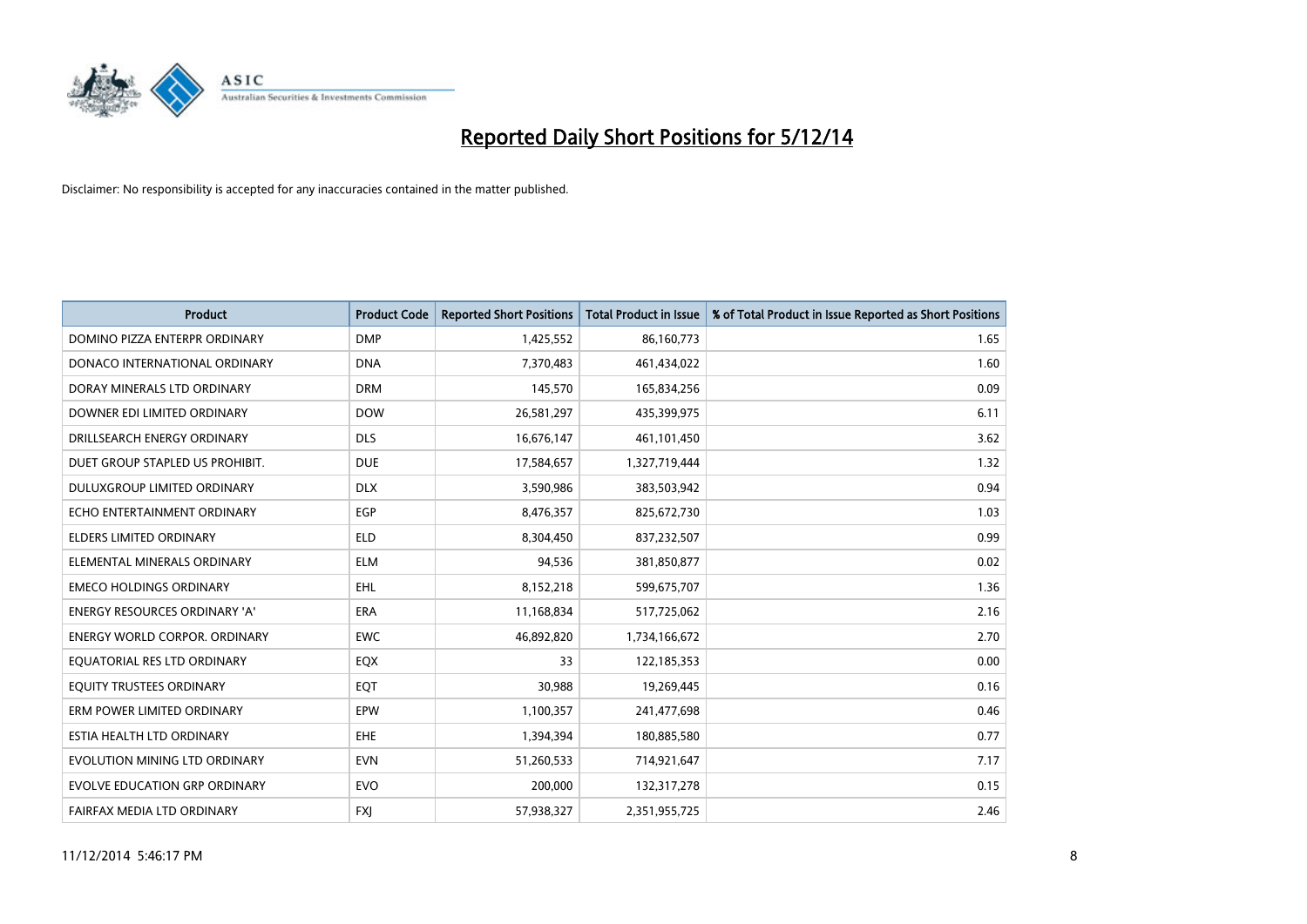

| <b>Product</b>                       | <b>Product Code</b> | <b>Reported Short Positions</b> | <b>Total Product in Issue</b> | % of Total Product in Issue Reported as Short Positions |
|--------------------------------------|---------------------|---------------------------------|-------------------------------|---------------------------------------------------------|
| DOMINO PIZZA ENTERPR ORDINARY        | <b>DMP</b>          | 1,425,552                       | 86,160,773                    | 1.65                                                    |
| DONACO INTERNATIONAL ORDINARY        | <b>DNA</b>          | 7,370,483                       | 461,434,022                   | 1.60                                                    |
| DORAY MINERALS LTD ORDINARY          | <b>DRM</b>          | 145,570                         | 165,834,256                   | 0.09                                                    |
| DOWNER EDI LIMITED ORDINARY          | <b>DOW</b>          | 26,581,297                      | 435,399,975                   | 6.11                                                    |
| DRILLSEARCH ENERGY ORDINARY          | <b>DLS</b>          | 16,676,147                      | 461,101,450                   | 3.62                                                    |
| DUET GROUP STAPLED US PROHIBIT.      | <b>DUE</b>          | 17,584,657                      | 1,327,719,444                 | 1.32                                                    |
| <b>DULUXGROUP LIMITED ORDINARY</b>   | <b>DLX</b>          | 3,590,986                       | 383,503,942                   | 0.94                                                    |
| ECHO ENTERTAINMENT ORDINARY          | EGP                 | 8,476,357                       | 825,672,730                   | 1.03                                                    |
| ELDERS LIMITED ORDINARY              | <b>ELD</b>          | 8,304,450                       | 837,232,507                   | 0.99                                                    |
| ELEMENTAL MINERALS ORDINARY          | <b>ELM</b>          | 94,536                          | 381,850,877                   | 0.02                                                    |
| <b>EMECO HOLDINGS ORDINARY</b>       | <b>EHL</b>          | 8,152,218                       | 599,675,707                   | 1.36                                                    |
| <b>ENERGY RESOURCES ORDINARY 'A'</b> | <b>ERA</b>          | 11,168,834                      | 517,725,062                   | 2.16                                                    |
| ENERGY WORLD CORPOR. ORDINARY        | <b>EWC</b>          | 46,892,820                      | 1,734,166,672                 | 2.70                                                    |
| EQUATORIAL RES LTD ORDINARY          | EQX                 | 33                              | 122,185,353                   | 0.00                                                    |
| EQUITY TRUSTEES ORDINARY             | EQT                 | 30,988                          | 19,269,445                    | 0.16                                                    |
| ERM POWER LIMITED ORDINARY           | EPW                 | 1,100,357                       | 241,477,698                   | 0.46                                                    |
| ESTIA HEALTH LTD ORDINARY            | <b>EHE</b>          | 1,394,394                       | 180,885,580                   | 0.77                                                    |
| EVOLUTION MINING LTD ORDINARY        | <b>EVN</b>          | 51,260,533                      | 714,921,647                   | 7.17                                                    |
| <b>EVOLVE EDUCATION GRP ORDINARY</b> | <b>EVO</b>          | 200,000                         | 132,317,278                   | 0.15                                                    |
| FAIRFAX MEDIA LTD ORDINARY           | <b>FXJ</b>          | 57,938,327                      | 2,351,955,725                 | 2.46                                                    |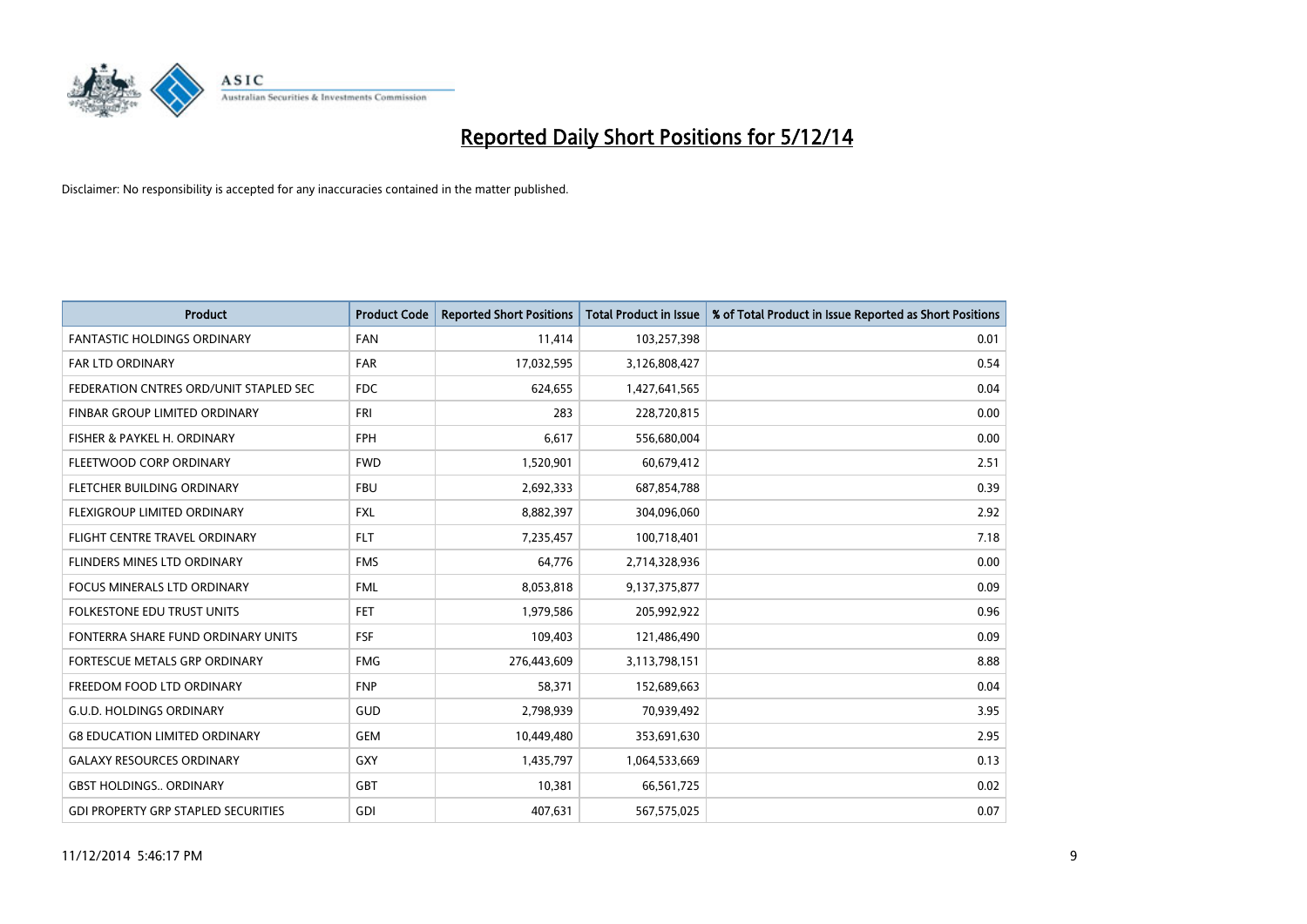

| <b>Product</b>                             | <b>Product Code</b> | <b>Reported Short Positions</b> | <b>Total Product in Issue</b> | % of Total Product in Issue Reported as Short Positions |
|--------------------------------------------|---------------------|---------------------------------|-------------------------------|---------------------------------------------------------|
| <b>FANTASTIC HOLDINGS ORDINARY</b>         | <b>FAN</b>          | 11,414                          | 103,257,398                   | 0.01                                                    |
| FAR LTD ORDINARY                           | <b>FAR</b>          | 17,032,595                      | 3,126,808,427                 | 0.54                                                    |
| FEDERATION CNTRES ORD/UNIT STAPLED SEC     | <b>FDC</b>          | 624,655                         | 1,427,641,565                 | 0.04                                                    |
| FINBAR GROUP LIMITED ORDINARY              | <b>FRI</b>          | 283                             | 228,720,815                   | 0.00                                                    |
| FISHER & PAYKEL H. ORDINARY                | <b>FPH</b>          | 6,617                           | 556,680,004                   | 0.00                                                    |
| FLEETWOOD CORP ORDINARY                    | <b>FWD</b>          | 1,520,901                       | 60,679,412                    | 2.51                                                    |
| FLETCHER BUILDING ORDINARY                 | <b>FBU</b>          | 2,692,333                       | 687,854,788                   | 0.39                                                    |
| FLEXIGROUP LIMITED ORDINARY                | <b>FXL</b>          | 8,882,397                       | 304,096,060                   | 2.92                                                    |
| FLIGHT CENTRE TRAVEL ORDINARY              | <b>FLT</b>          | 7,235,457                       | 100,718,401                   | 7.18                                                    |
| FLINDERS MINES LTD ORDINARY                | <b>FMS</b>          | 64,776                          | 2,714,328,936                 | 0.00                                                    |
| FOCUS MINERALS LTD ORDINARY                | <b>FML</b>          | 8,053,818                       | 9,137,375,877                 | 0.09                                                    |
| <b>FOLKESTONE EDU TRUST UNITS</b>          | <b>FET</b>          | 1,979,586                       | 205,992,922                   | 0.96                                                    |
| FONTERRA SHARE FUND ORDINARY UNITS         | <b>FSF</b>          | 109,403                         | 121,486,490                   | 0.09                                                    |
| <b>FORTESCUE METALS GRP ORDINARY</b>       | <b>FMG</b>          | 276,443,609                     | 3,113,798,151                 | 8.88                                                    |
| FREEDOM FOOD LTD ORDINARY                  | <b>FNP</b>          | 58,371                          | 152,689,663                   | 0.04                                                    |
| <b>G.U.D. HOLDINGS ORDINARY</b>            | GUD                 | 2,798,939                       | 70,939,492                    | 3.95                                                    |
| <b>G8 EDUCATION LIMITED ORDINARY</b>       | <b>GEM</b>          | 10,449,480                      | 353,691,630                   | 2.95                                                    |
| <b>GALAXY RESOURCES ORDINARY</b>           | GXY                 | 1,435,797                       | 1,064,533,669                 | 0.13                                                    |
| <b>GBST HOLDINGS., ORDINARY</b>            | GBT                 | 10,381                          | 66,561,725                    | 0.02                                                    |
| <b>GDI PROPERTY GRP STAPLED SECURITIES</b> | GDI                 | 407,631                         | 567,575,025                   | 0.07                                                    |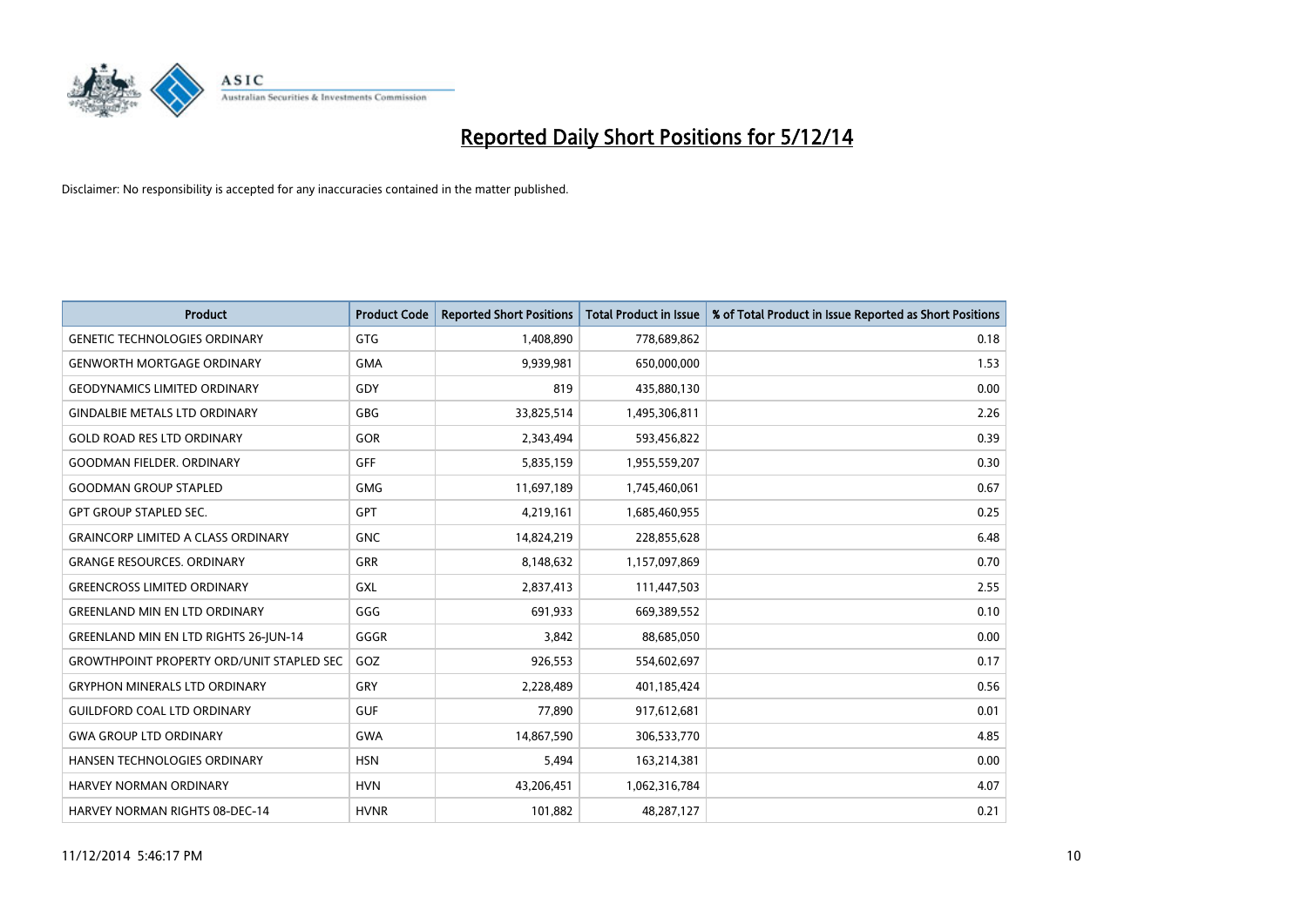

| <b>Product</b>                                   | <b>Product Code</b> | <b>Reported Short Positions</b> | <b>Total Product in Issue</b> | % of Total Product in Issue Reported as Short Positions |
|--------------------------------------------------|---------------------|---------------------------------|-------------------------------|---------------------------------------------------------|
| <b>GENETIC TECHNOLOGIES ORDINARY</b>             | <b>GTG</b>          | 1,408,890                       | 778,689,862                   | 0.18                                                    |
| <b>GENWORTH MORTGAGE ORDINARY</b>                | <b>GMA</b>          | 9,939,981                       | 650,000,000                   | 1.53                                                    |
| <b>GEODYNAMICS LIMITED ORDINARY</b>              | GDY                 | 819                             | 435,880,130                   | 0.00                                                    |
| <b>GINDALBIE METALS LTD ORDINARY</b>             | <b>GBG</b>          | 33,825,514                      | 1,495,306,811                 | 2.26                                                    |
| <b>GOLD ROAD RES LTD ORDINARY</b>                | GOR                 | 2,343,494                       | 593,456,822                   | 0.39                                                    |
| <b>GOODMAN FIELDER, ORDINARY</b>                 | <b>GFF</b>          | 5,835,159                       | 1,955,559,207                 | 0.30                                                    |
| <b>GOODMAN GROUP STAPLED</b>                     | <b>GMG</b>          | 11,697,189                      | 1,745,460,061                 | 0.67                                                    |
| <b>GPT GROUP STAPLED SEC.</b>                    | <b>GPT</b>          | 4,219,161                       | 1,685,460,955                 | 0.25                                                    |
| <b>GRAINCORP LIMITED A CLASS ORDINARY</b>        | <b>GNC</b>          | 14,824,219                      | 228,855,628                   | 6.48                                                    |
| <b>GRANGE RESOURCES, ORDINARY</b>                | <b>GRR</b>          | 8,148,632                       | 1,157,097,869                 | 0.70                                                    |
| <b>GREENCROSS LIMITED ORDINARY</b>               | <b>GXL</b>          | 2,837,413                       | 111,447,503                   | 2.55                                                    |
| <b>GREENLAND MIN EN LTD ORDINARY</b>             | GGG                 | 691,933                         | 669,389,552                   | 0.10                                                    |
| <b>GREENLAND MIN EN LTD RIGHTS 26-JUN-14</b>     | GGGR                | 3,842                           | 88,685,050                    | 0.00                                                    |
| <b>GROWTHPOINT PROPERTY ORD/UNIT STAPLED SEC</b> | GOZ                 | 926,553                         | 554,602,697                   | 0.17                                                    |
| <b>GRYPHON MINERALS LTD ORDINARY</b>             | GRY                 | 2,228,489                       | 401,185,424                   | 0.56                                                    |
| <b>GUILDFORD COAL LTD ORDINARY</b>               | <b>GUF</b>          | 77,890                          | 917,612,681                   | 0.01                                                    |
| <b>GWA GROUP LTD ORDINARY</b>                    | <b>GWA</b>          | 14,867,590                      | 306,533,770                   | 4.85                                                    |
| HANSEN TECHNOLOGIES ORDINARY                     | <b>HSN</b>          | 5,494                           | 163,214,381                   | 0.00                                                    |
| <b>HARVEY NORMAN ORDINARY</b>                    | <b>HVN</b>          | 43,206,451                      | 1,062,316,784                 | 4.07                                                    |
| <b>HARVEY NORMAN RIGHTS 08-DEC-14</b>            | <b>HVNR</b>         | 101,882                         | 48,287,127                    | 0.21                                                    |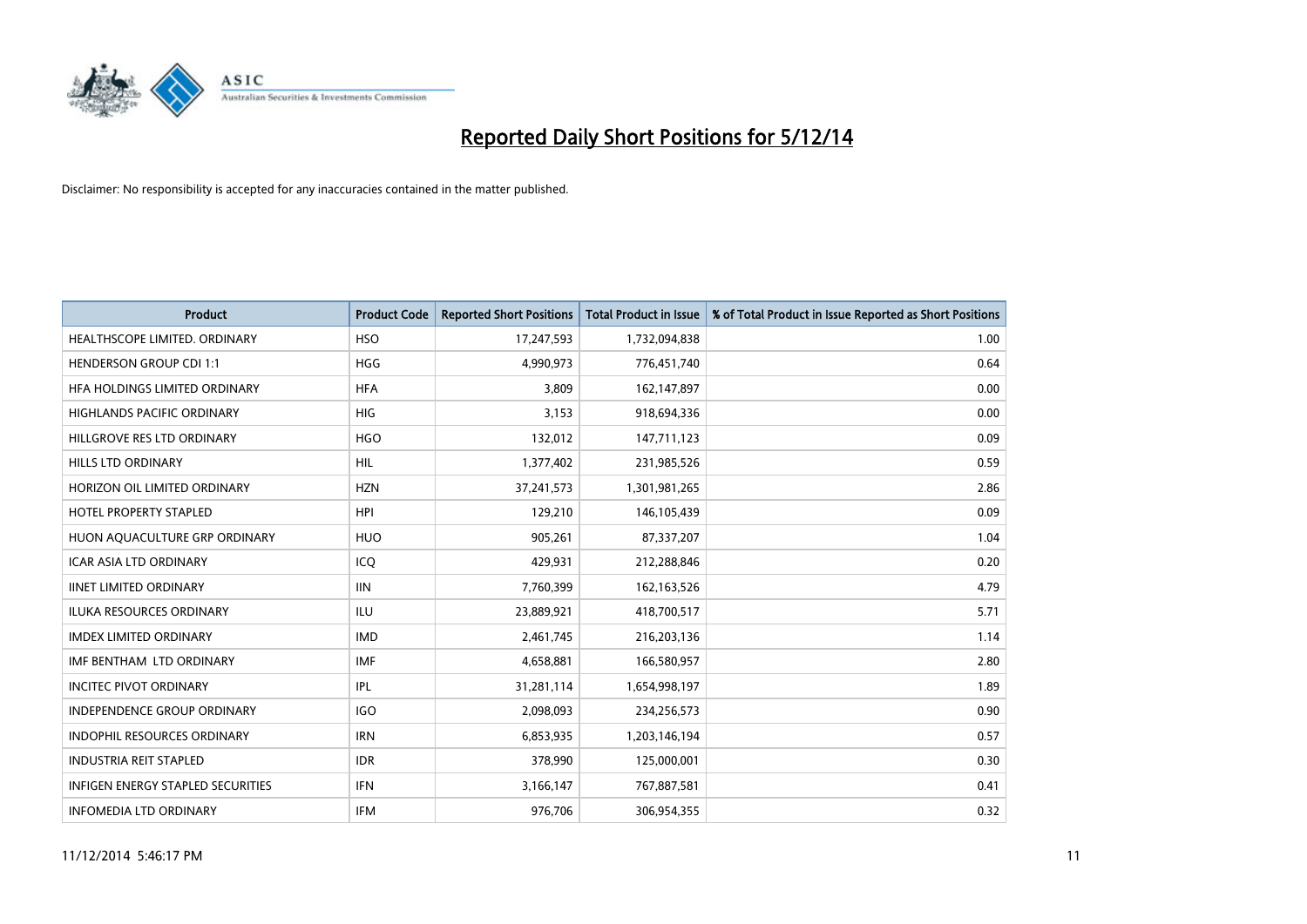

| <b>Product</b>                           | <b>Product Code</b> | <b>Reported Short Positions</b> | <b>Total Product in Issue</b> | % of Total Product in Issue Reported as Short Positions |
|------------------------------------------|---------------------|---------------------------------|-------------------------------|---------------------------------------------------------|
| HEALTHSCOPE LIMITED. ORDINARY            | <b>HSO</b>          | 17,247,593                      | 1,732,094,838                 | 1.00                                                    |
| <b>HENDERSON GROUP CDI 1:1</b>           | <b>HGG</b>          | 4,990,973                       | 776,451,740                   | 0.64                                                    |
| HFA HOLDINGS LIMITED ORDINARY            | <b>HFA</b>          | 3,809                           | 162,147,897                   | 0.00                                                    |
| HIGHLANDS PACIFIC ORDINARY               | <b>HIG</b>          | 3,153                           | 918,694,336                   | 0.00                                                    |
| HILLGROVE RES LTD ORDINARY               | <b>HGO</b>          | 132,012                         | 147,711,123                   | 0.09                                                    |
| <b>HILLS LTD ORDINARY</b>                | <b>HIL</b>          | 1,377,402                       | 231,985,526                   | 0.59                                                    |
| HORIZON OIL LIMITED ORDINARY             | <b>HZN</b>          | 37,241,573                      | 1,301,981,265                 | 2.86                                                    |
| HOTEL PROPERTY STAPLED                   | <b>HPI</b>          | 129,210                         | 146, 105, 439                 | 0.09                                                    |
| HUON AQUACULTURE GRP ORDINARY            | <b>HUO</b>          | 905,261                         | 87,337,207                    | 1.04                                                    |
| <b>ICAR ASIA LTD ORDINARY</b>            | ICQ                 | 429,931                         | 212,288,846                   | 0.20                                                    |
| <b>IINET LIMITED ORDINARY</b>            | <b>IIN</b>          | 7,760,399                       | 162, 163, 526                 | 4.79                                                    |
| <b>ILUKA RESOURCES ORDINARY</b>          | ILU                 | 23,889,921                      | 418,700,517                   | 5.71                                                    |
| <b>IMDEX LIMITED ORDINARY</b>            | <b>IMD</b>          | 2,461,745                       | 216,203,136                   | 1.14                                                    |
| IMF BENTHAM LTD ORDINARY                 | IMF                 | 4,658,881                       | 166,580,957                   | 2.80                                                    |
| <b>INCITEC PIVOT ORDINARY</b>            | IPL                 | 31,281,114                      | 1,654,998,197                 | 1.89                                                    |
| INDEPENDENCE GROUP ORDINARY              | <b>IGO</b>          | 2,098,093                       | 234,256,573                   | 0.90                                                    |
| INDOPHIL RESOURCES ORDINARY              | <b>IRN</b>          | 6,853,935                       | 1,203,146,194                 | 0.57                                                    |
| <b>INDUSTRIA REIT STAPLED</b>            | <b>IDR</b>          | 378,990                         | 125,000,001                   | 0.30                                                    |
| <b>INFIGEN ENERGY STAPLED SECURITIES</b> | <b>IFN</b>          | 3,166,147                       | 767,887,581                   | 0.41                                                    |
| <b>INFOMEDIA LTD ORDINARY</b>            | <b>IFM</b>          | 976,706                         | 306,954,355                   | 0.32                                                    |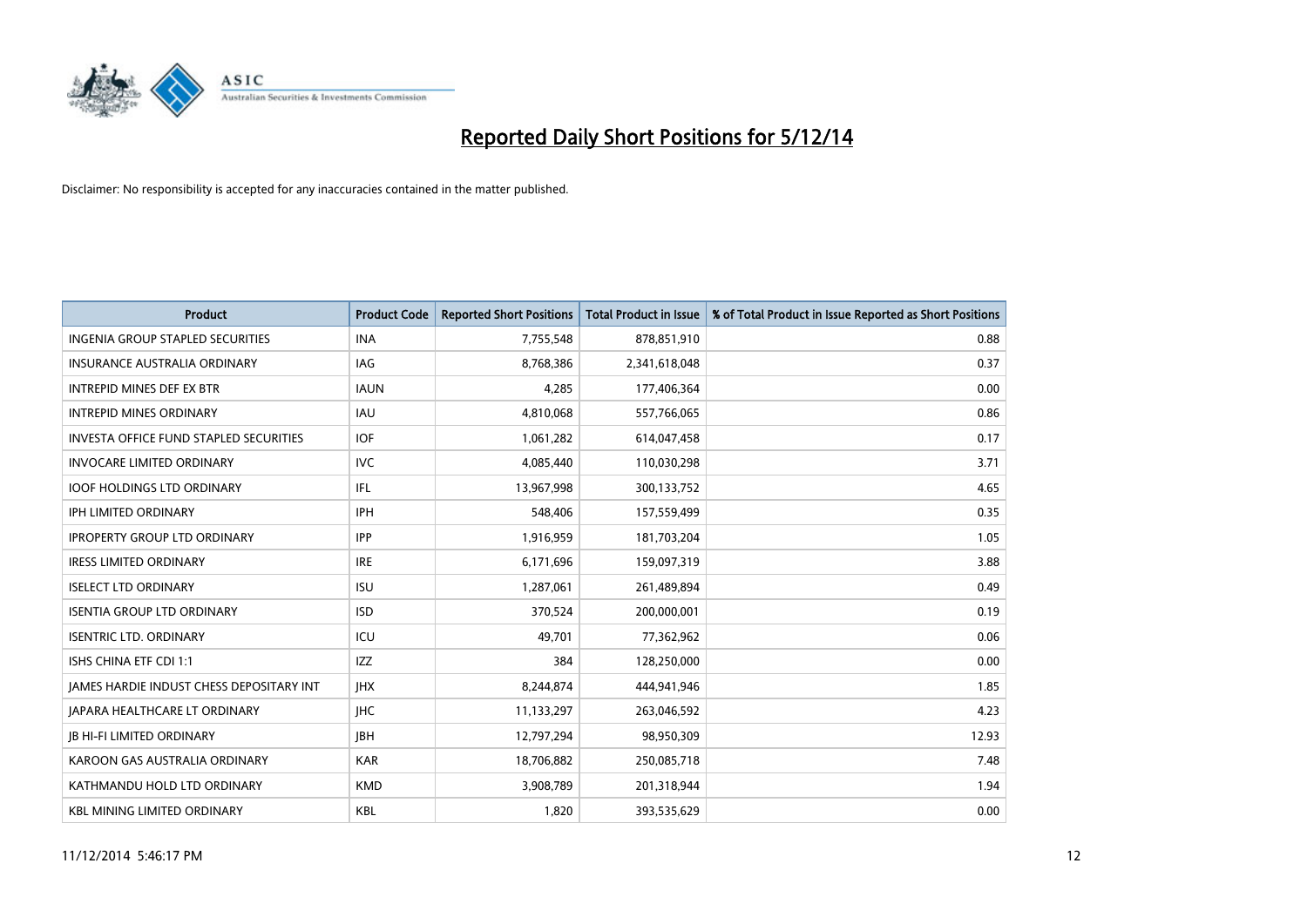

| Product                                         | <b>Product Code</b> | <b>Reported Short Positions</b> | <b>Total Product in Issue</b> | % of Total Product in Issue Reported as Short Positions |
|-------------------------------------------------|---------------------|---------------------------------|-------------------------------|---------------------------------------------------------|
| <b>INGENIA GROUP STAPLED SECURITIES</b>         | <b>INA</b>          | 7,755,548                       | 878,851,910                   | 0.88                                                    |
| INSURANCE AUSTRALIA ORDINARY                    | <b>IAG</b>          | 8,768,386                       | 2,341,618,048                 | 0.37                                                    |
| <b>INTREPID MINES DEF EX BTR</b>                | <b>IAUN</b>         | 4,285                           | 177,406,364                   | 0.00                                                    |
| <b>INTREPID MINES ORDINARY</b>                  | <b>IAU</b>          | 4,810,068                       | 557,766,065                   | 0.86                                                    |
| <b>INVESTA OFFICE FUND STAPLED SECURITIES</b>   | <b>IOF</b>          | 1,061,282                       | 614,047,458                   | 0.17                                                    |
| <b>INVOCARE LIMITED ORDINARY</b>                | <b>IVC</b>          | 4,085,440                       | 110,030,298                   | 3.71                                                    |
| <b>IOOF HOLDINGS LTD ORDINARY</b>               | IFL                 | 13,967,998                      | 300,133,752                   | 4.65                                                    |
| <b>IPH LIMITED ORDINARY</b>                     | <b>IPH</b>          | 548,406                         | 157,559,499                   | 0.35                                                    |
| <b>IPROPERTY GROUP LTD ORDINARY</b>             | <b>IPP</b>          | 1,916,959                       | 181,703,204                   | 1.05                                                    |
| <b>IRESS LIMITED ORDINARY</b>                   | <b>IRE</b>          | 6,171,696                       | 159,097,319                   | 3.88                                                    |
| <b>ISELECT LTD ORDINARY</b>                     | <b>ISU</b>          | 1,287,061                       | 261,489,894                   | 0.49                                                    |
| <b>ISENTIA GROUP LTD ORDINARY</b>               | <b>ISD</b>          | 370,524                         | 200,000,001                   | 0.19                                                    |
| <b>ISENTRIC LTD. ORDINARY</b>                   | ICU                 | 49,701                          | 77,362,962                    | 0.06                                                    |
| ISHS CHINA ETF CDI 1:1                          | <b>IZZ</b>          | 384                             | 128,250,000                   | 0.00                                                    |
| <b>JAMES HARDIE INDUST CHESS DEPOSITARY INT</b> | <b>IHX</b>          | 8,244,874                       | 444,941,946                   | 1.85                                                    |
| JAPARA HEALTHCARE LT ORDINARY                   | <b>IHC</b>          | 11,133,297                      | 263,046,592                   | 4.23                                                    |
| <b>JB HI-FI LIMITED ORDINARY</b>                | <b>IBH</b>          | 12,797,294                      | 98,950,309                    | 12.93                                                   |
| KAROON GAS AUSTRALIA ORDINARY                   | <b>KAR</b>          | 18,706,882                      | 250,085,718                   | 7.48                                                    |
| KATHMANDU HOLD LTD ORDINARY                     | <b>KMD</b>          | 3,908,789                       | 201,318,944                   | 1.94                                                    |
| <b>KBL MINING LIMITED ORDINARY</b>              | <b>KBL</b>          | 1,820                           | 393,535,629                   | 0.00                                                    |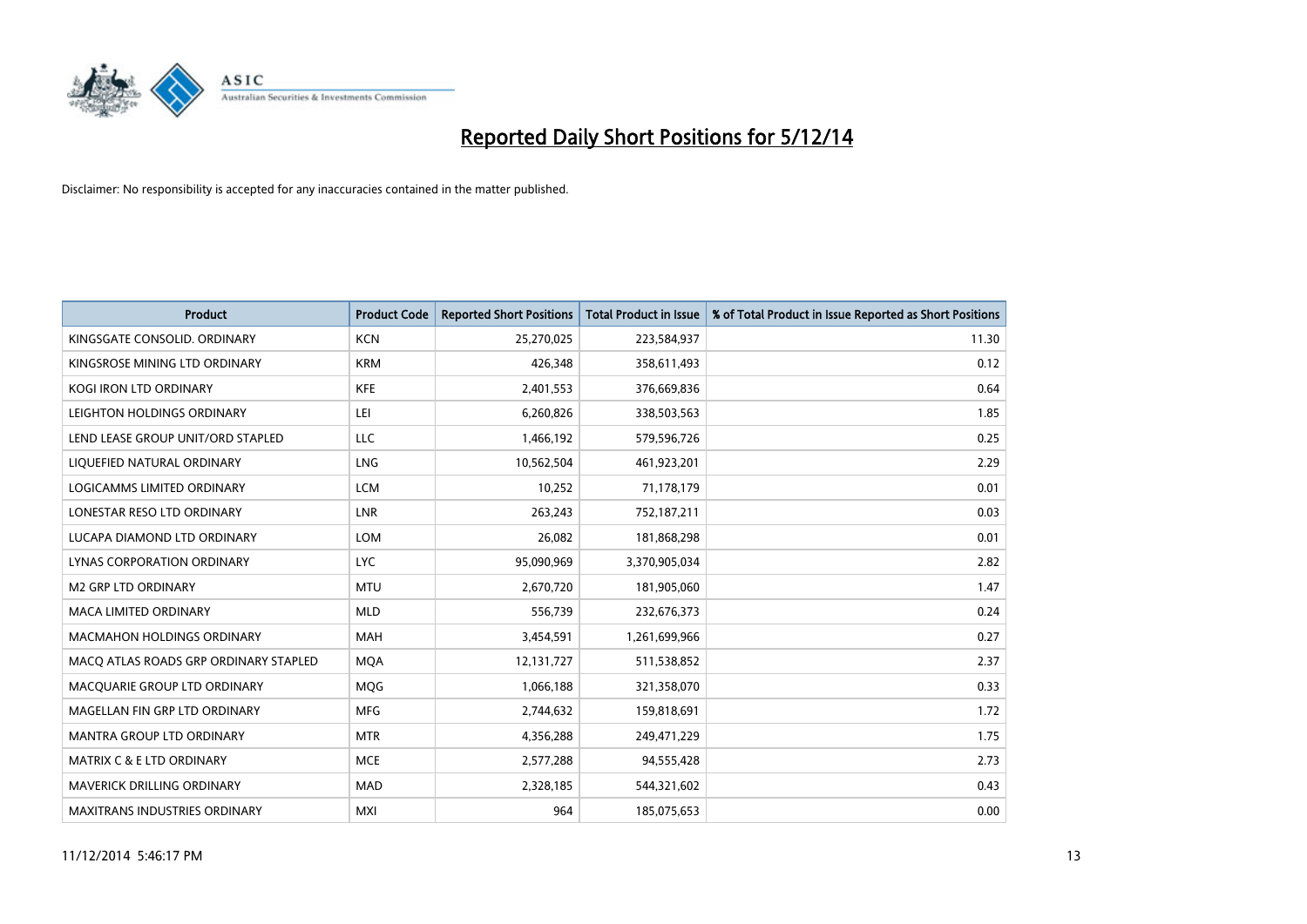

| <b>Product</b>                        | <b>Product Code</b> | <b>Reported Short Positions</b> | <b>Total Product in Issue</b> | % of Total Product in Issue Reported as Short Positions |
|---------------------------------------|---------------------|---------------------------------|-------------------------------|---------------------------------------------------------|
| KINGSGATE CONSOLID. ORDINARY          | <b>KCN</b>          | 25,270,025                      | 223,584,937                   | 11.30                                                   |
| KINGSROSE MINING LTD ORDINARY         | <b>KRM</b>          | 426,348                         | 358,611,493                   | 0.12                                                    |
| <b>KOGI IRON LTD ORDINARY</b>         | <b>KFE</b>          | 2,401,553                       | 376,669,836                   | 0.64                                                    |
| LEIGHTON HOLDINGS ORDINARY            | LEI                 | 6,260,826                       | 338,503,563                   | 1.85                                                    |
| LEND LEASE GROUP UNIT/ORD STAPLED     | LLC                 | 1,466,192                       | 579,596,726                   | 0.25                                                    |
| LIQUEFIED NATURAL ORDINARY            | <b>LNG</b>          | 10,562,504                      | 461,923,201                   | 2.29                                                    |
| LOGICAMMS LIMITED ORDINARY            | <b>LCM</b>          | 10,252                          | 71,178,179                    | 0.01                                                    |
| LONESTAR RESO LTD ORDINARY            | <b>LNR</b>          | 263,243                         | 752,187,211                   | 0.03                                                    |
| LUCAPA DIAMOND LTD ORDINARY           | <b>LOM</b>          | 26,082                          | 181,868,298                   | 0.01                                                    |
| <b>LYNAS CORPORATION ORDINARY</b>     | <b>LYC</b>          | 95,090,969                      | 3,370,905,034                 | 2.82                                                    |
| M2 GRP LTD ORDINARY                   | <b>MTU</b>          | 2,670,720                       | 181,905,060                   | 1.47                                                    |
| <b>MACA LIMITED ORDINARY</b>          | <b>MLD</b>          | 556,739                         | 232,676,373                   | 0.24                                                    |
| MACMAHON HOLDINGS ORDINARY            | MAH                 | 3,454,591                       | 1,261,699,966                 | 0.27                                                    |
| MACO ATLAS ROADS GRP ORDINARY STAPLED | <b>MOA</b>          | 12,131,727                      | 511,538,852                   | 2.37                                                    |
| MACQUARIE GROUP LTD ORDINARY          | <b>MQG</b>          | 1,066,188                       | 321,358,070                   | 0.33                                                    |
| MAGELLAN FIN GRP LTD ORDINARY         | <b>MFG</b>          | 2,744,632                       | 159,818,691                   | 1.72                                                    |
| MANTRA GROUP LTD ORDINARY             | <b>MTR</b>          | 4,356,288                       | 249,471,229                   | 1.75                                                    |
| MATRIX C & E LTD ORDINARY             | <b>MCE</b>          | 2,577,288                       | 94,555,428                    | 2.73                                                    |
| <b>MAVERICK DRILLING ORDINARY</b>     | <b>MAD</b>          | 2,328,185                       | 544,321,602                   | 0.43                                                    |
| MAXITRANS INDUSTRIES ORDINARY         | <b>MXI</b>          | 964                             | 185,075,653                   | 0.00                                                    |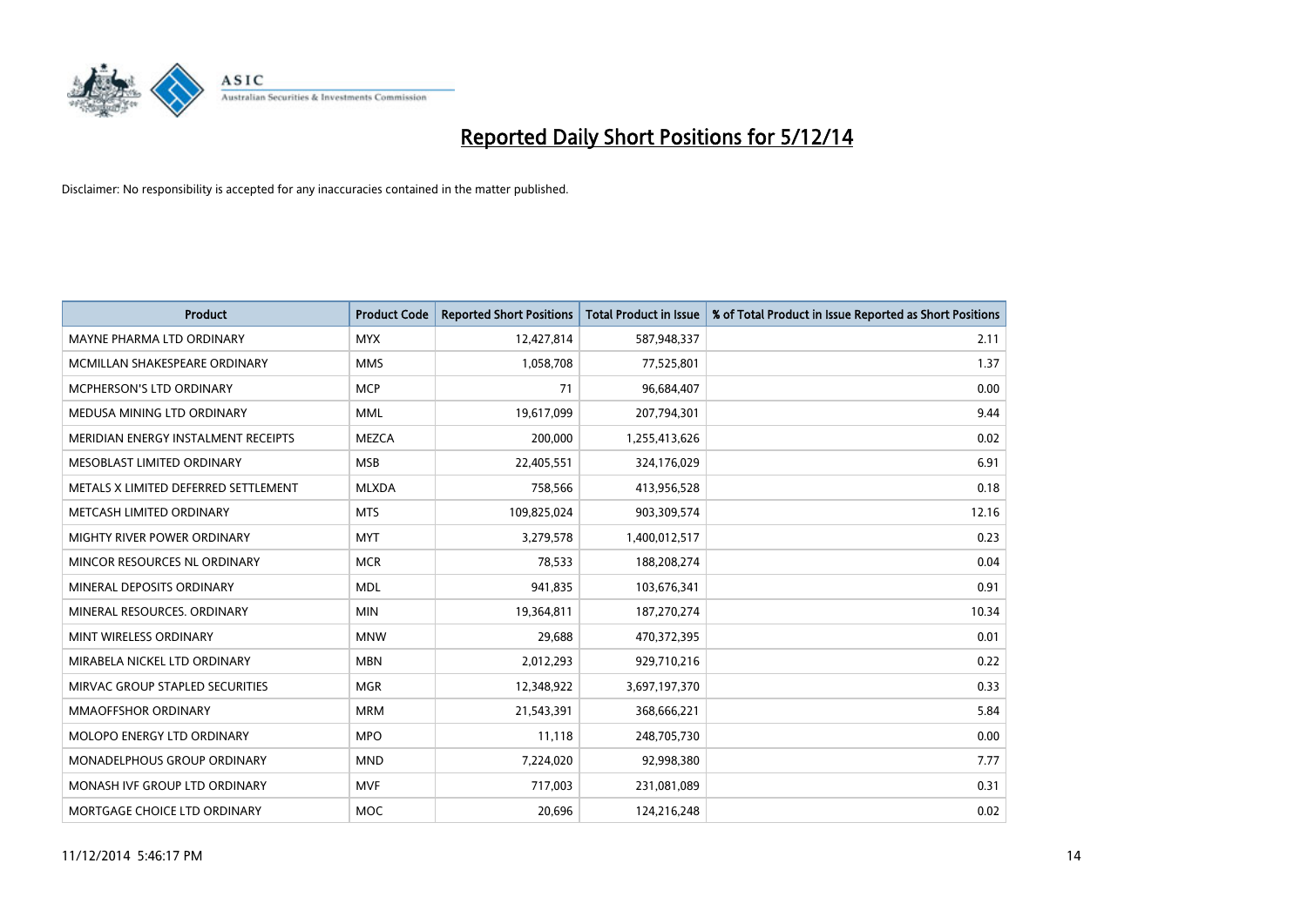

| <b>Product</b>                       | <b>Product Code</b> | <b>Reported Short Positions</b> | <b>Total Product in Issue</b> | % of Total Product in Issue Reported as Short Positions |
|--------------------------------------|---------------------|---------------------------------|-------------------------------|---------------------------------------------------------|
| MAYNE PHARMA LTD ORDINARY            | <b>MYX</b>          | 12,427,814                      | 587,948,337                   | 2.11                                                    |
| MCMILLAN SHAKESPEARE ORDINARY        | <b>MMS</b>          | 1,058,708                       | 77,525,801                    | 1.37                                                    |
| MCPHERSON'S LTD ORDINARY             | <b>MCP</b>          | 71                              | 96,684,407                    | 0.00                                                    |
| MEDUSA MINING LTD ORDINARY           | <b>MML</b>          | 19,617,099                      | 207,794,301                   | 9.44                                                    |
| MERIDIAN ENERGY INSTALMENT RECEIPTS  | <b>MEZCA</b>        | 200,000                         | 1,255,413,626                 | 0.02                                                    |
| MESOBLAST LIMITED ORDINARY           | <b>MSB</b>          | 22,405,551                      | 324,176,029                   | 6.91                                                    |
| METALS X LIMITED DEFERRED SETTLEMENT | <b>MLXDA</b>        | 758,566                         | 413,956,528                   | 0.18                                                    |
| METCASH LIMITED ORDINARY             | <b>MTS</b>          | 109,825,024                     | 903,309,574                   | 12.16                                                   |
| MIGHTY RIVER POWER ORDINARY          | <b>MYT</b>          | 3,279,578                       | 1,400,012,517                 | 0.23                                                    |
| MINCOR RESOURCES NL ORDINARY         | <b>MCR</b>          | 78,533                          | 188,208,274                   | 0.04                                                    |
| MINERAL DEPOSITS ORDINARY            | <b>MDL</b>          | 941,835                         | 103,676,341                   | 0.91                                                    |
| MINERAL RESOURCES, ORDINARY          | <b>MIN</b>          | 19,364,811                      | 187,270,274                   | 10.34                                                   |
| MINT WIRELESS ORDINARY               | <b>MNW</b>          | 29,688                          | 470,372,395                   | 0.01                                                    |
| MIRABELA NICKEL LTD ORDINARY         | <b>MBN</b>          | 2,012,293                       | 929,710,216                   | 0.22                                                    |
| MIRVAC GROUP STAPLED SECURITIES      | <b>MGR</b>          | 12,348,922                      | 3,697,197,370                 | 0.33                                                    |
| MMAOFFSHOR ORDINARY                  | <b>MRM</b>          | 21,543,391                      | 368,666,221                   | 5.84                                                    |
| MOLOPO ENERGY LTD ORDINARY           | <b>MPO</b>          | 11,118                          | 248,705,730                   | 0.00                                                    |
| MONADELPHOUS GROUP ORDINARY          | <b>MND</b>          | 7,224,020                       | 92,998,380                    | 7.77                                                    |
| MONASH IVF GROUP LTD ORDINARY        | <b>MVF</b>          | 717,003                         | 231,081,089                   | 0.31                                                    |
| MORTGAGE CHOICE LTD ORDINARY         | <b>MOC</b>          | 20,696                          | 124,216,248                   | 0.02                                                    |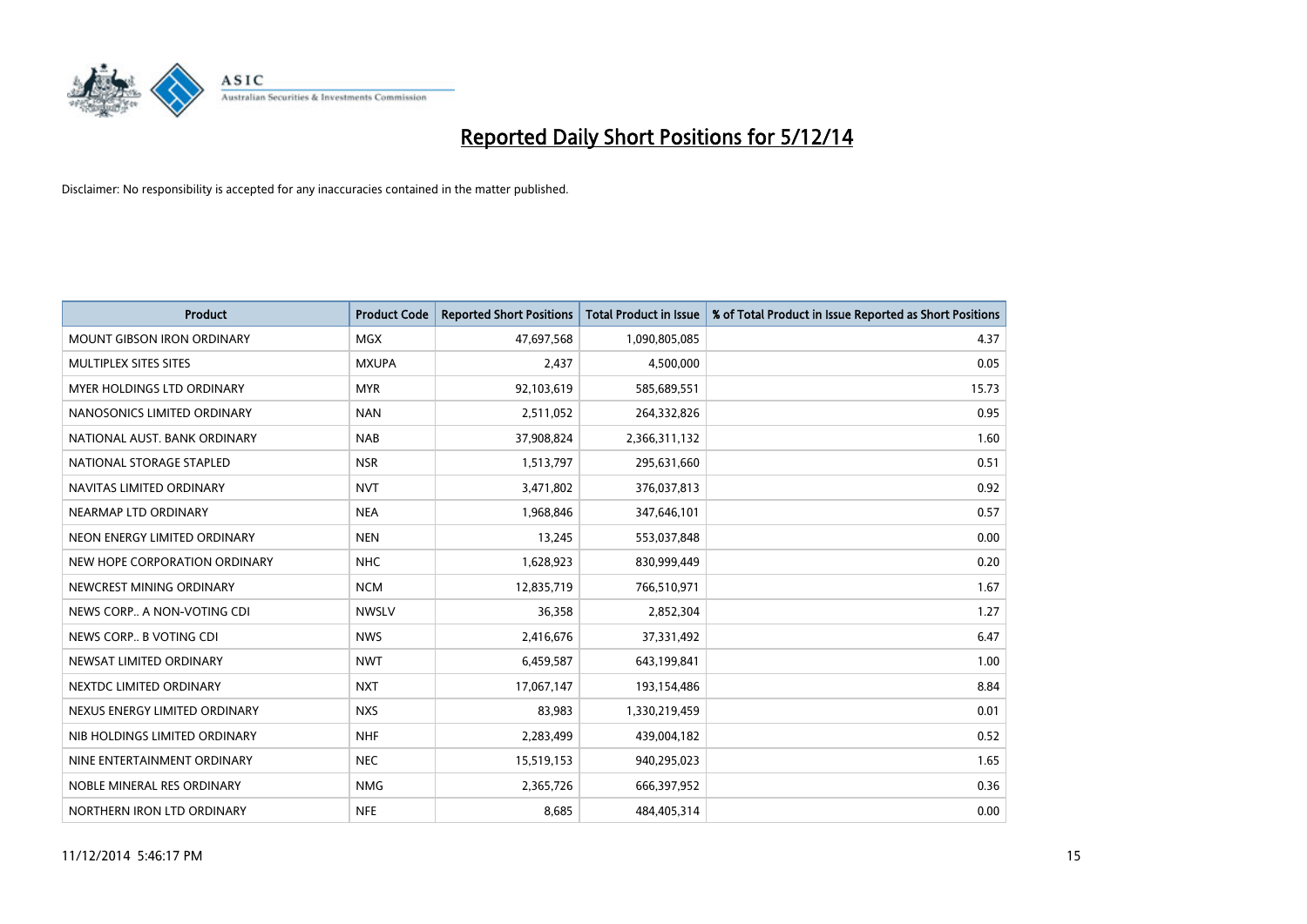

| <b>Product</b>                    | <b>Product Code</b> | <b>Reported Short Positions</b> | <b>Total Product in Issue</b> | % of Total Product in Issue Reported as Short Positions |
|-----------------------------------|---------------------|---------------------------------|-------------------------------|---------------------------------------------------------|
| <b>MOUNT GIBSON IRON ORDINARY</b> | <b>MGX</b>          | 47,697,568                      | 1,090,805,085                 | 4.37                                                    |
| MULTIPLEX SITES SITES             | <b>MXUPA</b>        | 2,437                           | 4,500,000                     | 0.05                                                    |
| MYER HOLDINGS LTD ORDINARY        | <b>MYR</b>          | 92,103,619                      | 585,689,551                   | 15.73                                                   |
| NANOSONICS LIMITED ORDINARY       | <b>NAN</b>          | 2,511,052                       | 264,332,826                   | 0.95                                                    |
| NATIONAL AUST. BANK ORDINARY      | <b>NAB</b>          | 37,908,824                      | 2,366,311,132                 | 1.60                                                    |
| NATIONAL STORAGE STAPLED          | <b>NSR</b>          | 1,513,797                       | 295,631,660                   | 0.51                                                    |
| NAVITAS LIMITED ORDINARY          | <b>NVT</b>          | 3,471,802                       | 376,037,813                   | 0.92                                                    |
| NEARMAP LTD ORDINARY              | <b>NEA</b>          | 1,968,846                       | 347,646,101                   | 0.57                                                    |
| NEON ENERGY LIMITED ORDINARY      | <b>NEN</b>          | 13,245                          | 553,037,848                   | 0.00                                                    |
| NEW HOPE CORPORATION ORDINARY     | <b>NHC</b>          | 1,628,923                       | 830,999,449                   | 0.20                                                    |
| NEWCREST MINING ORDINARY          | <b>NCM</b>          | 12,835,719                      | 766,510,971                   | 1.67                                                    |
| NEWS CORP A NON-VOTING CDI        | <b>NWSLV</b>        | 36,358                          | 2,852,304                     | 1.27                                                    |
| NEWS CORP B VOTING CDI            | <b>NWS</b>          | 2,416,676                       | 37,331,492                    | 6.47                                                    |
| NEWSAT LIMITED ORDINARY           | <b>NWT</b>          | 6,459,587                       | 643,199,841                   | 1.00                                                    |
| NEXTDC LIMITED ORDINARY           | <b>NXT</b>          | 17,067,147                      | 193,154,486                   | 8.84                                                    |
| NEXUS ENERGY LIMITED ORDINARY     | <b>NXS</b>          | 83,983                          | 1,330,219,459                 | 0.01                                                    |
| NIB HOLDINGS LIMITED ORDINARY     | <b>NHF</b>          | 2,283,499                       | 439,004,182                   | 0.52                                                    |
| NINE ENTERTAINMENT ORDINARY       | <b>NEC</b>          | 15,519,153                      | 940,295,023                   | 1.65                                                    |
| NOBLE MINERAL RES ORDINARY        | <b>NMG</b>          | 2,365,726                       | 666,397,952                   | 0.36                                                    |
| NORTHERN IRON LTD ORDINARY        | <b>NFE</b>          | 8,685                           | 484,405,314                   | 0.00                                                    |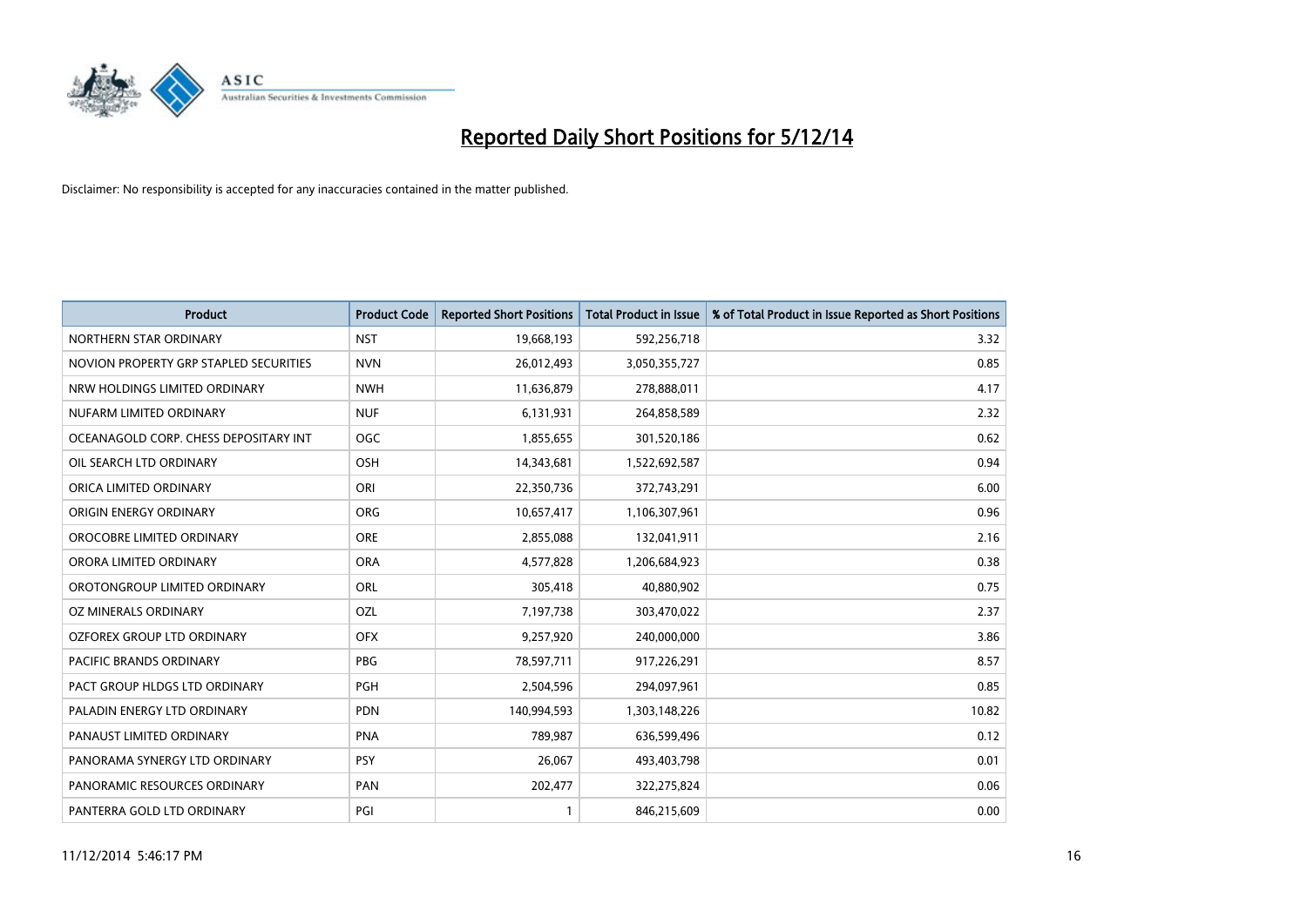

| <b>Product</b>                         | <b>Product Code</b> | <b>Reported Short Positions</b> | <b>Total Product in Issue</b> | % of Total Product in Issue Reported as Short Positions |
|----------------------------------------|---------------------|---------------------------------|-------------------------------|---------------------------------------------------------|
| NORTHERN STAR ORDINARY                 | <b>NST</b>          | 19,668,193                      | 592,256,718                   | 3.32                                                    |
| NOVION PROPERTY GRP STAPLED SECURITIES | <b>NVN</b>          | 26,012,493                      | 3,050,355,727                 | 0.85                                                    |
| NRW HOLDINGS LIMITED ORDINARY          | <b>NWH</b>          | 11,636,879                      | 278,888,011                   | 4.17                                                    |
| NUFARM LIMITED ORDINARY                | <b>NUF</b>          | 6,131,931                       | 264,858,589                   | 2.32                                                    |
| OCEANAGOLD CORP. CHESS DEPOSITARY INT  | <b>OGC</b>          | 1,855,655                       | 301,520,186                   | 0.62                                                    |
| OIL SEARCH LTD ORDINARY                | OSH                 | 14,343,681                      | 1,522,692,587                 | 0.94                                                    |
| ORICA LIMITED ORDINARY                 | ORI                 | 22,350,736                      | 372,743,291                   | 6.00                                                    |
| ORIGIN ENERGY ORDINARY                 | <b>ORG</b>          | 10,657,417                      | 1,106,307,961                 | 0.96                                                    |
| OROCOBRE LIMITED ORDINARY              | <b>ORE</b>          | 2,855,088                       | 132,041,911                   | 2.16                                                    |
| ORORA LIMITED ORDINARY                 | <b>ORA</b>          | 4,577,828                       | 1,206,684,923                 | 0.38                                                    |
| OROTONGROUP LIMITED ORDINARY           | ORL                 | 305,418                         | 40,880,902                    | 0.75                                                    |
| OZ MINERALS ORDINARY                   | <b>OZL</b>          | 7,197,738                       | 303,470,022                   | 2.37                                                    |
| OZFOREX GROUP LTD ORDINARY             | <b>OFX</b>          | 9,257,920                       | 240,000,000                   | 3.86                                                    |
| <b>PACIFIC BRANDS ORDINARY</b>         | <b>PBG</b>          | 78,597,711                      | 917,226,291                   | 8.57                                                    |
| PACT GROUP HLDGS LTD ORDINARY          | PGH                 | 2,504,596                       | 294,097,961                   | 0.85                                                    |
| PALADIN ENERGY LTD ORDINARY            | <b>PDN</b>          | 140,994,593                     | 1,303,148,226                 | 10.82                                                   |
| PANAUST LIMITED ORDINARY               | <b>PNA</b>          | 789,987                         | 636,599,496                   | 0.12                                                    |
| PANORAMA SYNERGY LTD ORDINARY          | <b>PSY</b>          | 26.067                          | 493,403,798                   | 0.01                                                    |
| PANORAMIC RESOURCES ORDINARY           | PAN                 | 202,477                         | 322,275,824                   | 0.06                                                    |
| PANTERRA GOLD LTD ORDINARY             | PGI                 |                                 | 846,215,609                   | 0.00                                                    |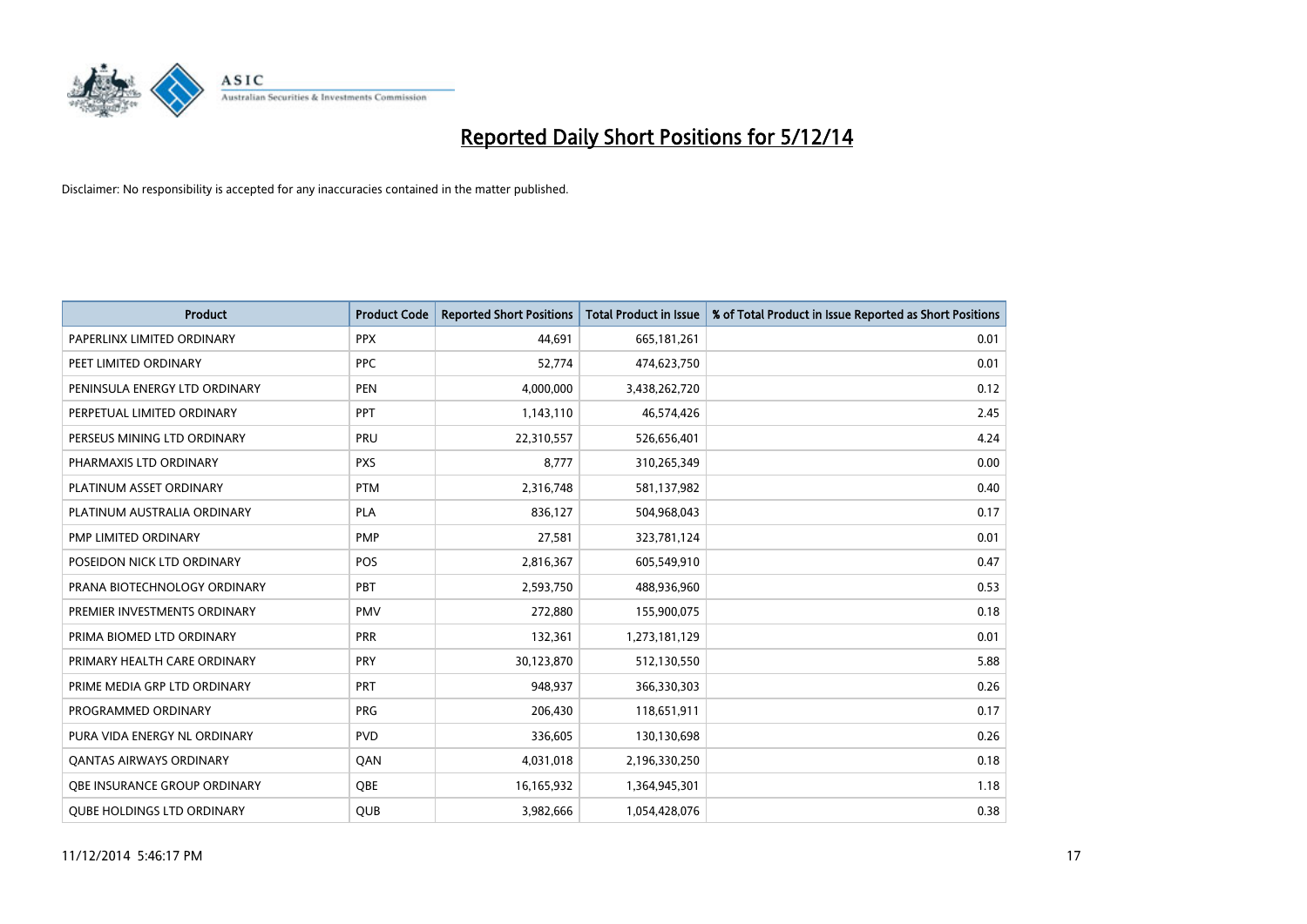

| <b>Product</b>                    | <b>Product Code</b> | <b>Reported Short Positions</b> | <b>Total Product in Issue</b> | % of Total Product in Issue Reported as Short Positions |
|-----------------------------------|---------------------|---------------------------------|-------------------------------|---------------------------------------------------------|
| PAPERLINX LIMITED ORDINARY        | <b>PPX</b>          | 44,691                          | 665, 181, 261                 | 0.01                                                    |
| PEET LIMITED ORDINARY             | <b>PPC</b>          | 52,774                          | 474,623,750                   | 0.01                                                    |
| PENINSULA ENERGY LTD ORDINARY     | <b>PEN</b>          | 4,000,000                       | 3,438,262,720                 | 0.12                                                    |
| PERPETUAL LIMITED ORDINARY        | PPT                 | 1,143,110                       | 46,574,426                    | 2.45                                                    |
| PERSEUS MINING LTD ORDINARY       | PRU                 | 22,310,557                      | 526,656,401                   | 4.24                                                    |
| PHARMAXIS LTD ORDINARY            | <b>PXS</b>          | 8,777                           | 310,265,349                   | 0.00                                                    |
| PLATINUM ASSET ORDINARY           | <b>PTM</b>          | 2,316,748                       | 581,137,982                   | 0.40                                                    |
| PLATINUM AUSTRALIA ORDINARY       | PLA                 | 836,127                         | 504,968,043                   | 0.17                                                    |
| PMP LIMITED ORDINARY              | <b>PMP</b>          | 27,581                          | 323,781,124                   | 0.01                                                    |
| POSEIDON NICK LTD ORDINARY        | <b>POS</b>          | 2,816,367                       | 605,549,910                   | 0.47                                                    |
| PRANA BIOTECHNOLOGY ORDINARY      | <b>PBT</b>          | 2,593,750                       | 488,936,960                   | 0.53                                                    |
| PREMIER INVESTMENTS ORDINARY      | <b>PMV</b>          | 272,880                         | 155,900,075                   | 0.18                                                    |
| PRIMA BIOMED LTD ORDINARY         | <b>PRR</b>          | 132,361                         | 1,273,181,129                 | 0.01                                                    |
| PRIMARY HEALTH CARE ORDINARY      | <b>PRY</b>          | 30,123,870                      | 512,130,550                   | 5.88                                                    |
| PRIME MEDIA GRP LTD ORDINARY      | <b>PRT</b>          | 948,937                         | 366,330,303                   | 0.26                                                    |
| PROGRAMMED ORDINARY               | <b>PRG</b>          | 206,430                         | 118,651,911                   | 0.17                                                    |
| PURA VIDA ENERGY NL ORDINARY      | <b>PVD</b>          | 336,605                         | 130,130,698                   | 0.26                                                    |
| <b>QANTAS AIRWAYS ORDINARY</b>    | QAN                 | 4,031,018                       | 2,196,330,250                 | 0.18                                                    |
| OBE INSURANCE GROUP ORDINARY      | <b>OBE</b>          | 16,165,932                      | 1,364,945,301                 | 1.18                                                    |
| <b>OUBE HOLDINGS LTD ORDINARY</b> | <b>QUB</b>          | 3,982,666                       | 1,054,428,076                 | 0.38                                                    |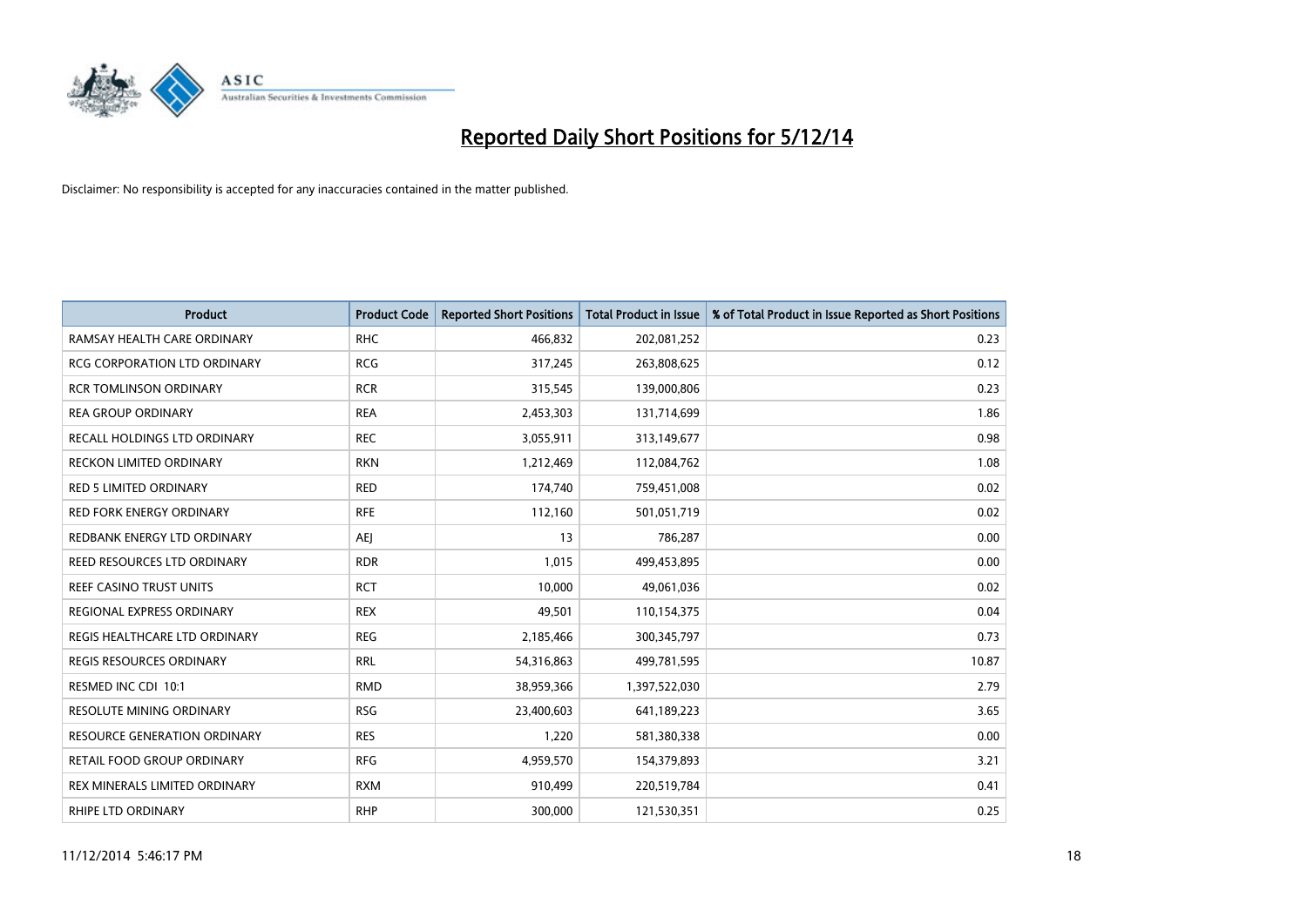

| <b>Product</b>                      | <b>Product Code</b> | <b>Reported Short Positions</b> | <b>Total Product in Issue</b> | % of Total Product in Issue Reported as Short Positions |
|-------------------------------------|---------------------|---------------------------------|-------------------------------|---------------------------------------------------------|
| RAMSAY HEALTH CARE ORDINARY         | <b>RHC</b>          | 466,832                         | 202,081,252                   | 0.23                                                    |
| RCG CORPORATION LTD ORDINARY        | <b>RCG</b>          | 317,245                         | 263,808,625                   | 0.12                                                    |
| <b>RCR TOMLINSON ORDINARY</b>       | <b>RCR</b>          | 315,545                         | 139,000,806                   | 0.23                                                    |
| <b>REA GROUP ORDINARY</b>           | <b>REA</b>          | 2,453,303                       | 131,714,699                   | 1.86                                                    |
| RECALL HOLDINGS LTD ORDINARY        | <b>REC</b>          | 3,055,911                       | 313,149,677                   | 0.98                                                    |
| <b>RECKON LIMITED ORDINARY</b>      | <b>RKN</b>          | 1,212,469                       | 112,084,762                   | 1.08                                                    |
| <b>RED 5 LIMITED ORDINARY</b>       | <b>RED</b>          | 174,740                         | 759,451,008                   | 0.02                                                    |
| <b>RED FORK ENERGY ORDINARY</b>     | <b>RFE</b>          | 112,160                         | 501,051,719                   | 0.02                                                    |
| REDBANK ENERGY LTD ORDINARY         | AEJ                 | 13                              | 786,287                       | 0.00                                                    |
| REED RESOURCES LTD ORDINARY         | <b>RDR</b>          | 1,015                           | 499,453,895                   | 0.00                                                    |
| <b>REEF CASINO TRUST UNITS</b>      | <b>RCT</b>          | 10,000                          | 49,061,036                    | 0.02                                                    |
| REGIONAL EXPRESS ORDINARY           | <b>REX</b>          | 49,501                          | 110,154,375                   | 0.04                                                    |
| REGIS HEALTHCARE LTD ORDINARY       | <b>REG</b>          | 2,185,466                       | 300, 345, 797                 | 0.73                                                    |
| <b>REGIS RESOURCES ORDINARY</b>     | <b>RRL</b>          | 54,316,863                      | 499,781,595                   | 10.87                                                   |
| RESMED INC CDI 10:1                 | <b>RMD</b>          | 38,959,366                      | 1,397,522,030                 | 2.79                                                    |
| <b>RESOLUTE MINING ORDINARY</b>     | <b>RSG</b>          | 23,400,603                      | 641,189,223                   | 3.65                                                    |
| <b>RESOURCE GENERATION ORDINARY</b> | <b>RES</b>          | 1,220                           | 581,380,338                   | 0.00                                                    |
| <b>RETAIL FOOD GROUP ORDINARY</b>   | <b>RFG</b>          | 4,959,570                       | 154,379,893                   | 3.21                                                    |
| REX MINERALS LIMITED ORDINARY       | <b>RXM</b>          | 910,499                         | 220,519,784                   | 0.41                                                    |
| RHIPE LTD ORDINARY                  | <b>RHP</b>          | 300,000                         | 121,530,351                   | 0.25                                                    |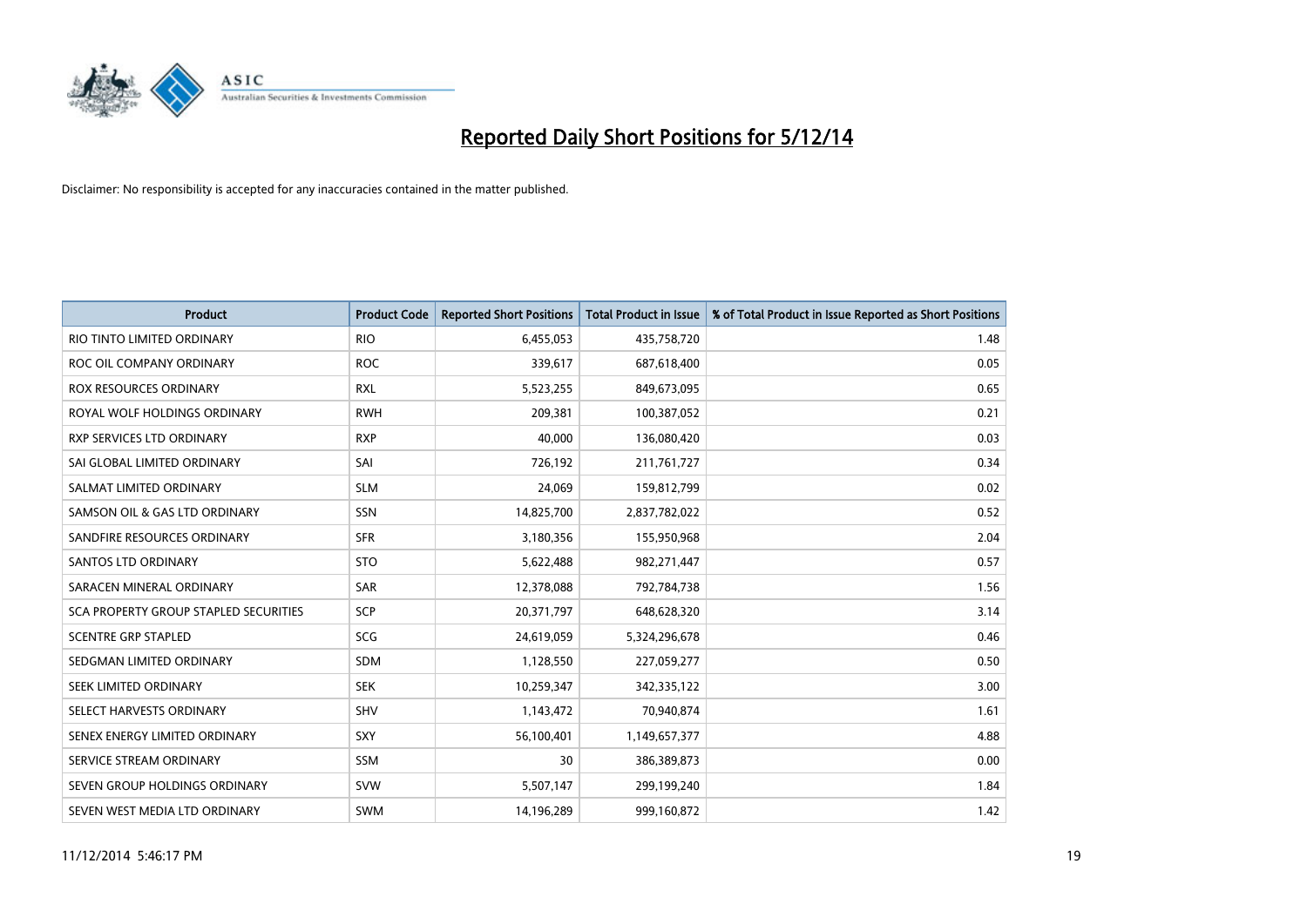

| <b>Product</b>                        | <b>Product Code</b> | <b>Reported Short Positions</b> | <b>Total Product in Issue</b> | % of Total Product in Issue Reported as Short Positions |
|---------------------------------------|---------------------|---------------------------------|-------------------------------|---------------------------------------------------------|
| RIO TINTO LIMITED ORDINARY            | <b>RIO</b>          | 6,455,053                       | 435,758,720                   | 1.48                                                    |
| ROC OIL COMPANY ORDINARY              | <b>ROC</b>          | 339,617                         | 687,618,400                   | 0.05                                                    |
| ROX RESOURCES ORDINARY                | <b>RXL</b>          | 5,523,255                       | 849,673,095                   | 0.65                                                    |
| ROYAL WOLF HOLDINGS ORDINARY          | <b>RWH</b>          | 209,381                         | 100,387,052                   | 0.21                                                    |
| <b>RXP SERVICES LTD ORDINARY</b>      | <b>RXP</b>          | 40,000                          | 136,080,420                   | 0.03                                                    |
| SAI GLOBAL LIMITED ORDINARY           | SAI                 | 726,192                         | 211,761,727                   | 0.34                                                    |
| SALMAT LIMITED ORDINARY               | <b>SLM</b>          | 24,069                          | 159,812,799                   | 0.02                                                    |
| SAMSON OIL & GAS LTD ORDINARY         | SSN                 | 14,825,700                      | 2,837,782,022                 | 0.52                                                    |
| SANDFIRE RESOURCES ORDINARY           | <b>SFR</b>          | 3,180,356                       | 155,950,968                   | 2.04                                                    |
| SANTOS LTD ORDINARY                   | <b>STO</b>          | 5,622,488                       | 982,271,447                   | 0.57                                                    |
| SARACEN MINERAL ORDINARY              | SAR                 | 12,378,088                      | 792,784,738                   | 1.56                                                    |
| SCA PROPERTY GROUP STAPLED SECURITIES | SCP                 | 20,371,797                      | 648,628,320                   | 3.14                                                    |
| <b>SCENTRE GRP STAPLED</b>            | <b>SCG</b>          | 24,619,059                      | 5,324,296,678                 | 0.46                                                    |
| SEDGMAN LIMITED ORDINARY              | <b>SDM</b>          | 1,128,550                       | 227,059,277                   | 0.50                                                    |
| SEEK LIMITED ORDINARY                 | <b>SEK</b>          | 10,259,347                      | 342,335,122                   | 3.00                                                    |
| SELECT HARVESTS ORDINARY              | SHV                 | 1,143,472                       | 70,940,874                    | 1.61                                                    |
| SENEX ENERGY LIMITED ORDINARY         | SXY                 | 56,100,401                      | 1,149,657,377                 | 4.88                                                    |
| SERVICE STREAM ORDINARY               | <b>SSM</b>          | 30                              | 386,389,873                   | 0.00                                                    |
| SEVEN GROUP HOLDINGS ORDINARY         | <b>SVW</b>          | 5,507,147                       | 299,199,240                   | 1.84                                                    |
| SEVEN WEST MEDIA LTD ORDINARY         | <b>SWM</b>          | 14,196,289                      | 999,160,872                   | 1.42                                                    |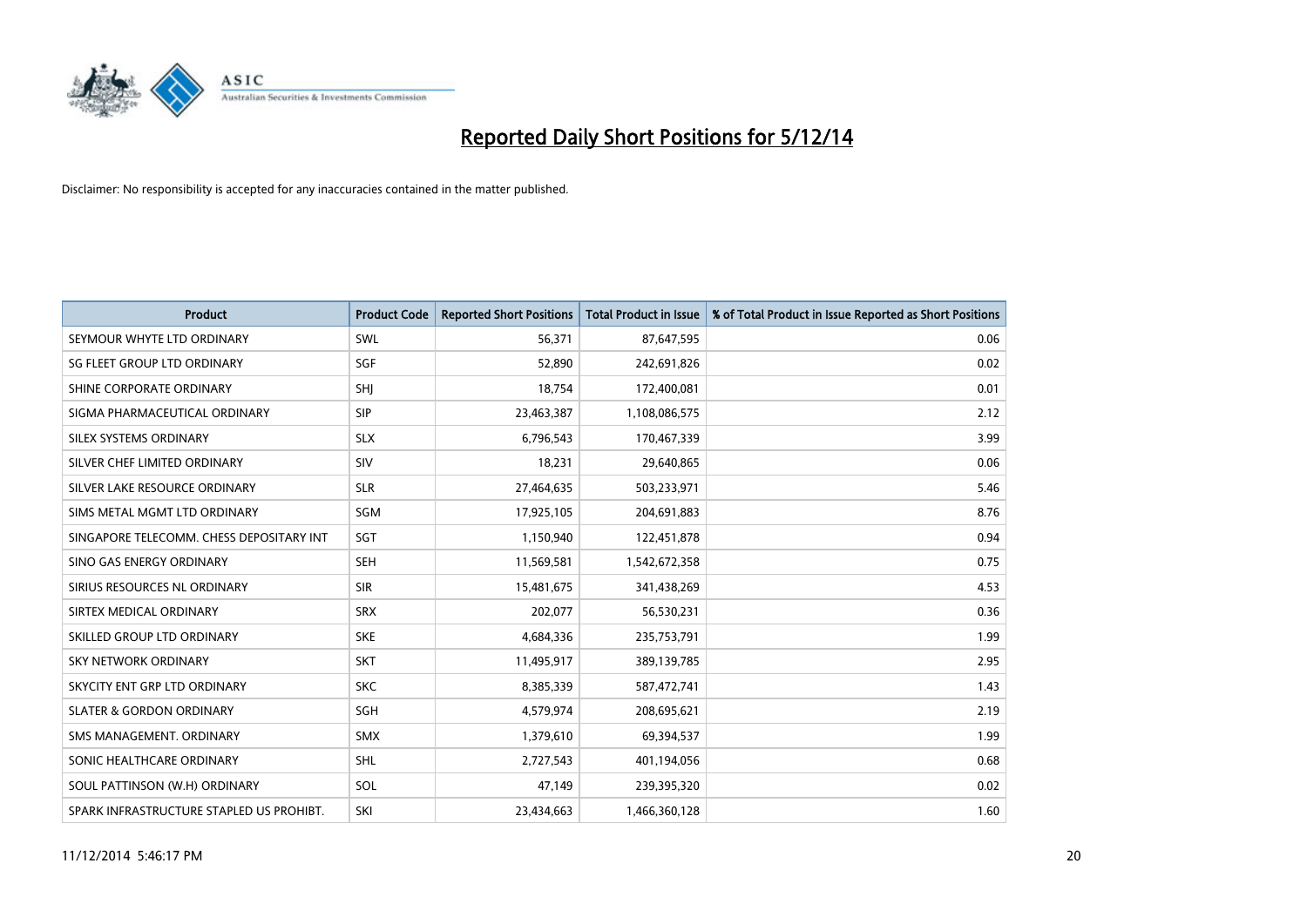

| <b>Product</b>                           | <b>Product Code</b> | <b>Reported Short Positions</b> | <b>Total Product in Issue</b> | % of Total Product in Issue Reported as Short Positions |
|------------------------------------------|---------------------|---------------------------------|-------------------------------|---------------------------------------------------------|
| SEYMOUR WHYTE LTD ORDINARY               | <b>SWL</b>          | 56,371                          | 87,647,595                    | 0.06                                                    |
| SG FLEET GROUP LTD ORDINARY              | <b>SGF</b>          | 52,890                          | 242,691,826                   | 0.02                                                    |
| SHINE CORPORATE ORDINARY                 | <b>SHI</b>          | 18,754                          | 172,400,081                   | 0.01                                                    |
| SIGMA PHARMACEUTICAL ORDINARY            | <b>SIP</b>          | 23,463,387                      | 1,108,086,575                 | 2.12                                                    |
| SILEX SYSTEMS ORDINARY                   | <b>SLX</b>          | 6,796,543                       | 170,467,339                   | 3.99                                                    |
| SILVER CHEF LIMITED ORDINARY             | SIV                 | 18,231                          | 29,640,865                    | 0.06                                                    |
| SILVER LAKE RESOURCE ORDINARY            | <b>SLR</b>          | 27,464,635                      | 503,233,971                   | 5.46                                                    |
| SIMS METAL MGMT LTD ORDINARY             | <b>SGM</b>          | 17,925,105                      | 204,691,883                   | 8.76                                                    |
| SINGAPORE TELECOMM. CHESS DEPOSITARY INT | SGT                 | 1,150,940                       | 122,451,878                   | 0.94                                                    |
| SINO GAS ENERGY ORDINARY                 | <b>SEH</b>          | 11,569,581                      | 1,542,672,358                 | 0.75                                                    |
| SIRIUS RESOURCES NL ORDINARY             | <b>SIR</b>          | 15,481,675                      | 341,438,269                   | 4.53                                                    |
| SIRTEX MEDICAL ORDINARY                  | <b>SRX</b>          | 202,077                         | 56,530,231                    | 0.36                                                    |
| SKILLED GROUP LTD ORDINARY               | <b>SKE</b>          | 4,684,336                       | 235,753,791                   | 1.99                                                    |
| <b>SKY NETWORK ORDINARY</b>              | <b>SKT</b>          | 11,495,917                      | 389,139,785                   | 2.95                                                    |
| SKYCITY ENT GRP LTD ORDINARY             | <b>SKC</b>          | 8,385,339                       | 587,472,741                   | 1.43                                                    |
| <b>SLATER &amp; GORDON ORDINARY</b>      | SGH                 | 4,579,974                       | 208,695,621                   | 2.19                                                    |
| SMS MANAGEMENT. ORDINARY                 | <b>SMX</b>          | 1,379,610                       | 69,394,537                    | 1.99                                                    |
| SONIC HEALTHCARE ORDINARY                | <b>SHL</b>          | 2,727,543                       | 401,194,056                   | 0.68                                                    |
| SOUL PATTINSON (W.H) ORDINARY            | SOL                 | 47,149                          | 239,395,320                   | 0.02                                                    |
| SPARK INFRASTRUCTURE STAPLED US PROHIBT. | SKI                 | 23,434,663                      | 1,466,360,128                 | 1.60                                                    |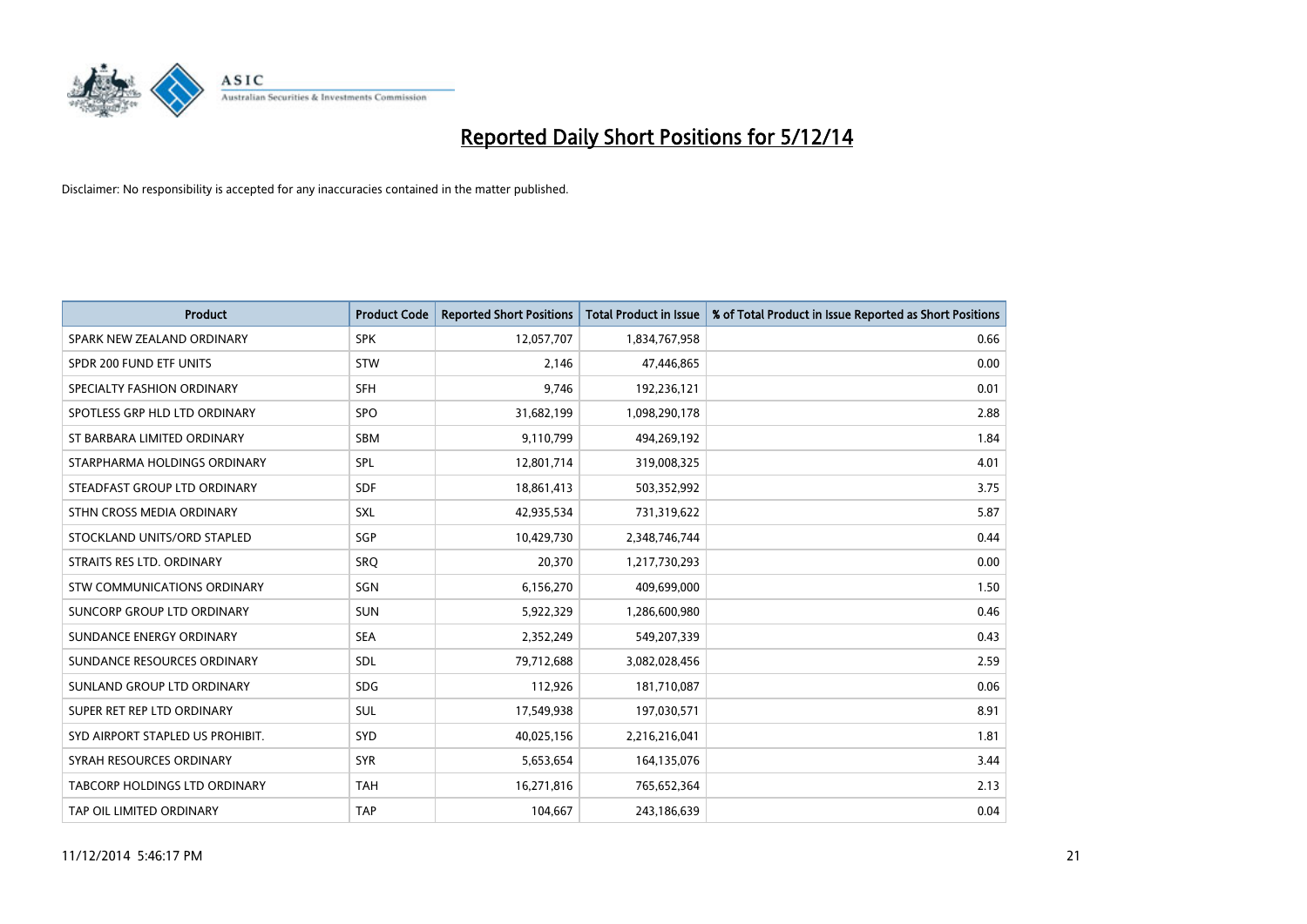

| <b>Product</b>                   | <b>Product Code</b> | <b>Reported Short Positions</b> | <b>Total Product in Issue</b> | % of Total Product in Issue Reported as Short Positions |
|----------------------------------|---------------------|---------------------------------|-------------------------------|---------------------------------------------------------|
| SPARK NEW ZEALAND ORDINARY       | <b>SPK</b>          | 12,057,707                      | 1,834,767,958                 | 0.66                                                    |
| SPDR 200 FUND ETF UNITS          | <b>STW</b>          | 2,146                           | 47,446,865                    | 0.00                                                    |
| SPECIALTY FASHION ORDINARY       | <b>SFH</b>          | 9,746                           | 192,236,121                   | 0.01                                                    |
| SPOTLESS GRP HLD LTD ORDINARY    | <b>SPO</b>          | 31,682,199                      | 1,098,290,178                 | 2.88                                                    |
| ST BARBARA LIMITED ORDINARY      | <b>SBM</b>          | 9,110,799                       | 494,269,192                   | 1.84                                                    |
| STARPHARMA HOLDINGS ORDINARY     | SPL                 | 12,801,714                      | 319,008,325                   | 4.01                                                    |
| STEADFAST GROUP LTD ORDINARY     | SDF                 | 18,861,413                      | 503,352,992                   | 3.75                                                    |
| STHN CROSS MEDIA ORDINARY        | SXL                 | 42,935,534                      | 731,319,622                   | 5.87                                                    |
| STOCKLAND UNITS/ORD STAPLED      | SGP                 | 10,429,730                      | 2,348,746,744                 | 0.44                                                    |
| STRAITS RES LTD. ORDINARY        | SRO                 | 20,370                          | 1,217,730,293                 | 0.00                                                    |
| STW COMMUNICATIONS ORDINARY      | SGN                 | 6,156,270                       | 409,699,000                   | 1.50                                                    |
| SUNCORP GROUP LTD ORDINARY       | <b>SUN</b>          | 5,922,329                       | 1,286,600,980                 | 0.46                                                    |
| SUNDANCE ENERGY ORDINARY         | <b>SEA</b>          | 2,352,249                       | 549,207,339                   | 0.43                                                    |
| SUNDANCE RESOURCES ORDINARY      | SDL                 | 79,712,688                      | 3,082,028,456                 | 2.59                                                    |
| SUNLAND GROUP LTD ORDINARY       | <b>SDG</b>          | 112,926                         | 181,710,087                   | 0.06                                                    |
| SUPER RET REP LTD ORDINARY       | SUL                 | 17,549,938                      | 197,030,571                   | 8.91                                                    |
| SYD AIRPORT STAPLED US PROHIBIT. | <b>SYD</b>          | 40,025,156                      | 2,216,216,041                 | 1.81                                                    |
| SYRAH RESOURCES ORDINARY         | <b>SYR</b>          | 5,653,654                       | 164,135,076                   | 3.44                                                    |
| TABCORP HOLDINGS LTD ORDINARY    | <b>TAH</b>          | 16,271,816                      | 765,652,364                   | 2.13                                                    |
| TAP OIL LIMITED ORDINARY         | <b>TAP</b>          | 104,667                         | 243,186,639                   | 0.04                                                    |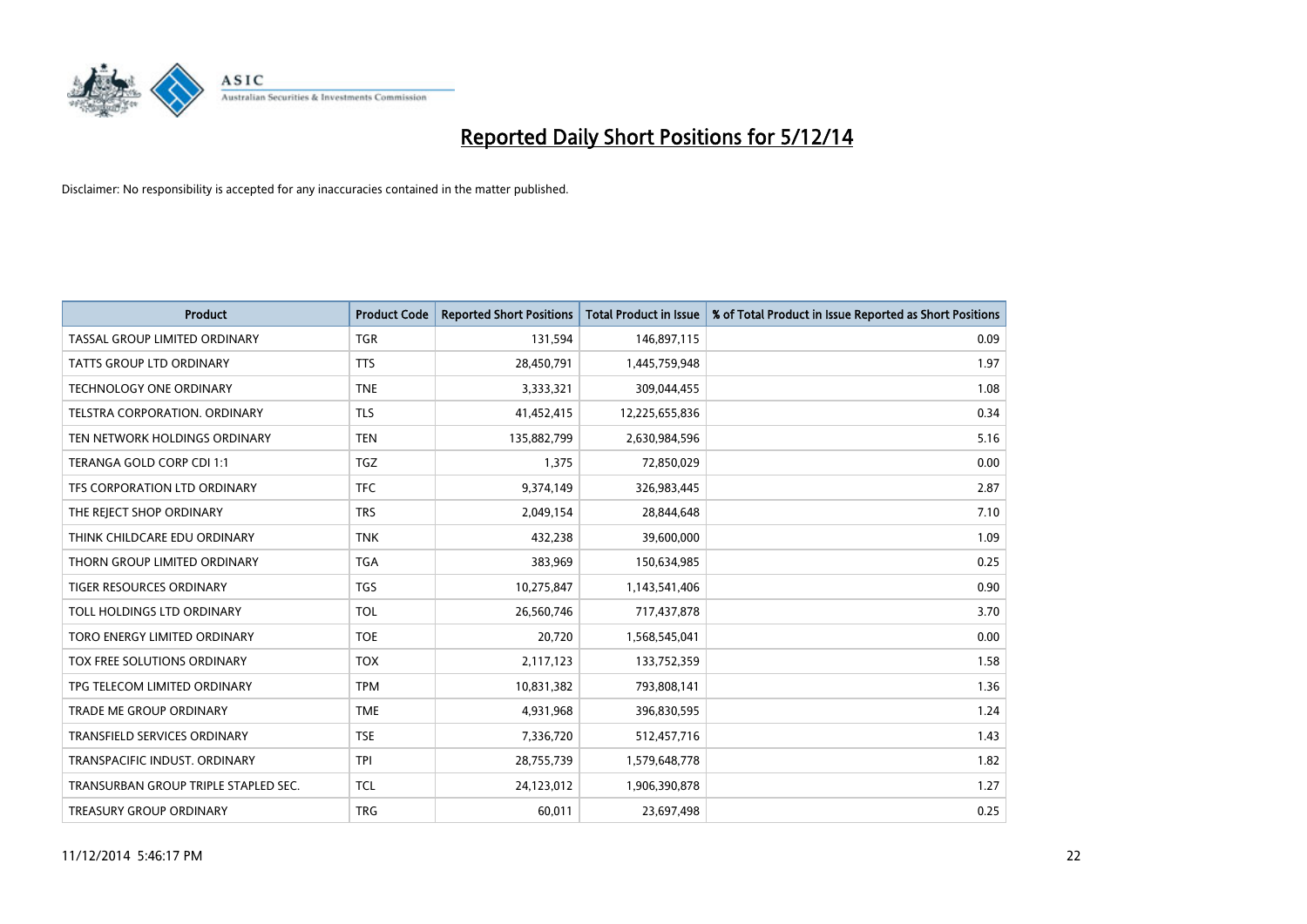

| <b>Product</b>                       | <b>Product Code</b> | <b>Reported Short Positions</b> | <b>Total Product in Issue</b> | % of Total Product in Issue Reported as Short Positions |
|--------------------------------------|---------------------|---------------------------------|-------------------------------|---------------------------------------------------------|
| TASSAL GROUP LIMITED ORDINARY        | <b>TGR</b>          | 131,594                         | 146,897,115                   | 0.09                                                    |
| TATTS GROUP LTD ORDINARY             | <b>TTS</b>          | 28,450,791                      | 1,445,759,948                 | 1.97                                                    |
| TECHNOLOGY ONE ORDINARY              | <b>TNE</b>          | 3,333,321                       | 309,044,455                   | 1.08                                                    |
| TELSTRA CORPORATION, ORDINARY        | <b>TLS</b>          | 41,452,415                      | 12,225,655,836                | 0.34                                                    |
| TEN NETWORK HOLDINGS ORDINARY        | <b>TEN</b>          | 135,882,799                     | 2,630,984,596                 | 5.16                                                    |
| TERANGA GOLD CORP CDI 1:1            | <b>TGZ</b>          | 1,375                           | 72,850,029                    | 0.00                                                    |
| TFS CORPORATION LTD ORDINARY         | <b>TFC</b>          | 9,374,149                       | 326,983,445                   | 2.87                                                    |
| THE REJECT SHOP ORDINARY             | <b>TRS</b>          | 2,049,154                       | 28,844,648                    | 7.10                                                    |
| THINK CHILDCARE EDU ORDINARY         | <b>TNK</b>          | 432,238                         | 39,600,000                    | 1.09                                                    |
| THORN GROUP LIMITED ORDINARY         | <b>TGA</b>          | 383,969                         | 150,634,985                   | 0.25                                                    |
| TIGER RESOURCES ORDINARY             | <b>TGS</b>          | 10,275,847                      | 1,143,541,406                 | 0.90                                                    |
| TOLL HOLDINGS LTD ORDINARY           | <b>TOL</b>          | 26,560,746                      | 717,437,878                   | 3.70                                                    |
| TORO ENERGY LIMITED ORDINARY         | <b>TOE</b>          | 20,720                          | 1,568,545,041                 | 0.00                                                    |
| TOX FREE SOLUTIONS ORDINARY          | <b>TOX</b>          | 2,117,123                       | 133,752,359                   | 1.58                                                    |
| TPG TELECOM LIMITED ORDINARY         | <b>TPM</b>          | 10,831,382                      | 793,808,141                   | 1.36                                                    |
| TRADE ME GROUP ORDINARY              | <b>TME</b>          | 4,931,968                       | 396,830,595                   | 1.24                                                    |
| TRANSFIELD SERVICES ORDINARY         | <b>TSE</b>          | 7,336,720                       | 512,457,716                   | 1.43                                                    |
| TRANSPACIFIC INDUST, ORDINARY        | <b>TPI</b>          | 28,755,739                      | 1,579,648,778                 | 1.82                                                    |
| TRANSURBAN GROUP TRIPLE STAPLED SEC. | <b>TCL</b>          | 24,123,012                      | 1,906,390,878                 | 1.27                                                    |
| TREASURY GROUP ORDINARY              | <b>TRG</b>          | 60,011                          | 23,697,498                    | 0.25                                                    |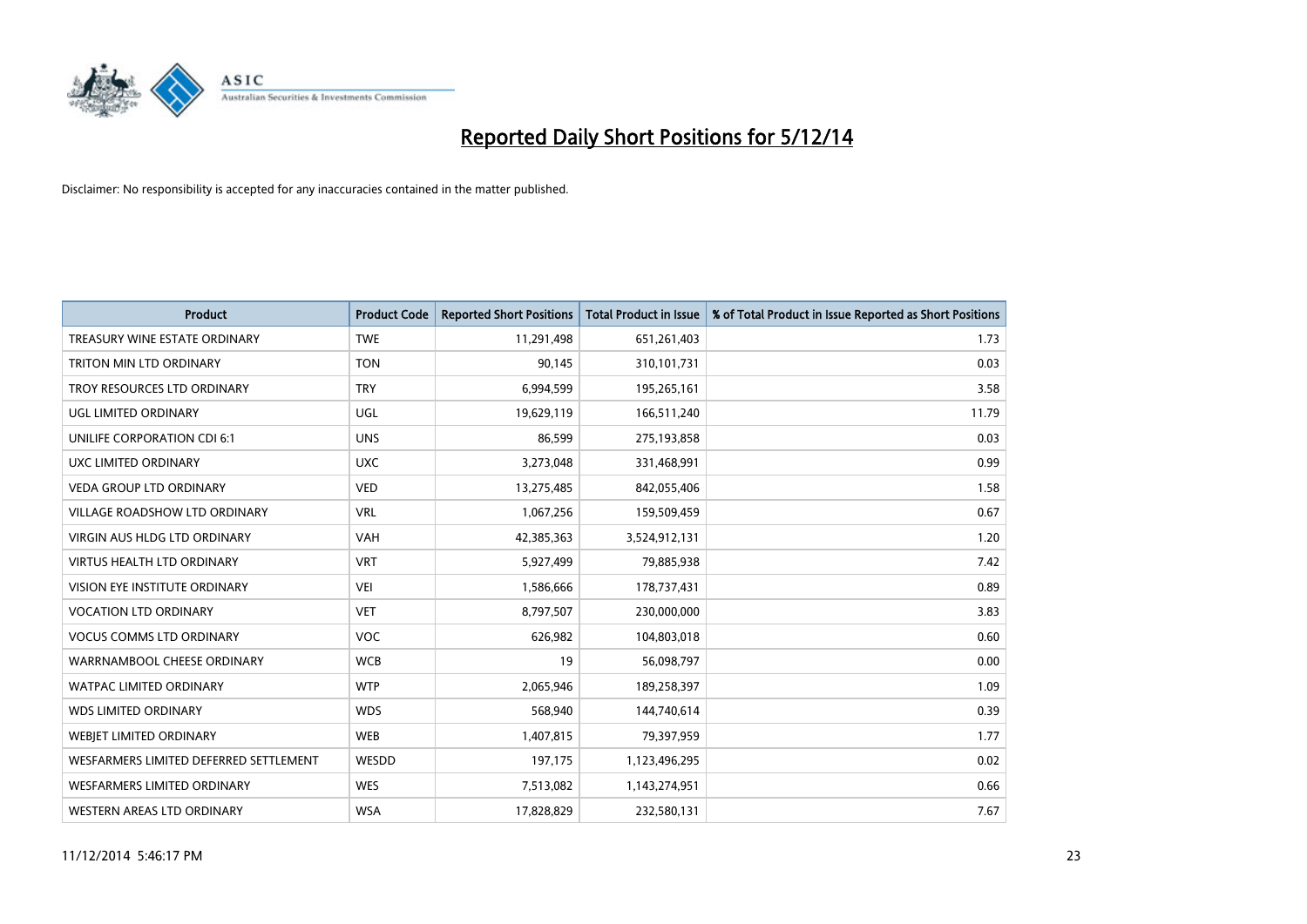

| <b>Product</b>                         | <b>Product Code</b> | <b>Reported Short Positions</b> | <b>Total Product in Issue</b> | % of Total Product in Issue Reported as Short Positions |
|----------------------------------------|---------------------|---------------------------------|-------------------------------|---------------------------------------------------------|
| TREASURY WINE ESTATE ORDINARY          | <b>TWE</b>          | 11,291,498                      | 651,261,403                   | 1.73                                                    |
| TRITON MIN LTD ORDINARY                | <b>TON</b>          | 90,145                          | 310,101,731                   | 0.03                                                    |
| TROY RESOURCES LTD ORDINARY            | <b>TRY</b>          | 6,994,599                       | 195,265,161                   | 3.58                                                    |
| UGL LIMITED ORDINARY                   | UGL                 | 19,629,119                      | 166,511,240                   | 11.79                                                   |
| UNILIFE CORPORATION CDI 6:1            | <b>UNS</b>          | 86,599                          | 275,193,858                   | 0.03                                                    |
| UXC LIMITED ORDINARY                   | <b>UXC</b>          | 3,273,048                       | 331,468,991                   | 0.99                                                    |
| <b>VEDA GROUP LTD ORDINARY</b>         | <b>VED</b>          | 13,275,485                      | 842,055,406                   | 1.58                                                    |
| VILLAGE ROADSHOW LTD ORDINARY          | <b>VRL</b>          | 1,067,256                       | 159,509,459                   | 0.67                                                    |
| <b>VIRGIN AUS HLDG LTD ORDINARY</b>    | <b>VAH</b>          | 42,385,363                      | 3,524,912,131                 | 1.20                                                    |
| <b>VIRTUS HEALTH LTD ORDINARY</b>      | <b>VRT</b>          | 5,927,499                       | 79,885,938                    | 7.42                                                    |
| VISION EYE INSTITUTE ORDINARY          | <b>VEI</b>          | 1,586,666                       | 178,737,431                   | 0.89                                                    |
| <b>VOCATION LTD ORDINARY</b>           | <b>VET</b>          | 8,797,507                       | 230,000,000                   | 3.83                                                    |
| <b>VOCUS COMMS LTD ORDINARY</b>        | <b>VOC</b>          | 626,982                         | 104,803,018                   | 0.60                                                    |
| WARRNAMBOOL CHEESE ORDINARY            | <b>WCB</b>          | 19                              | 56,098,797                    | 0.00                                                    |
| <b>WATPAC LIMITED ORDINARY</b>         | <b>WTP</b>          | 2,065,946                       | 189,258,397                   | 1.09                                                    |
| <b>WDS LIMITED ORDINARY</b>            | <b>WDS</b>          | 568,940                         | 144,740,614                   | 0.39                                                    |
| WEBIET LIMITED ORDINARY                | <b>WEB</b>          | 1,407,815                       | 79,397,959                    | 1.77                                                    |
| WESFARMERS LIMITED DEFERRED SETTLEMENT | WESDD               | 197,175                         | 1,123,496,295                 | 0.02                                                    |
| <b>WESFARMERS LIMITED ORDINARY</b>     | <b>WES</b>          | 7,513,082                       | 1,143,274,951                 | 0.66                                                    |
| WESTERN AREAS LTD ORDINARY             | <b>WSA</b>          | 17,828,829                      | 232,580,131                   | 7.67                                                    |